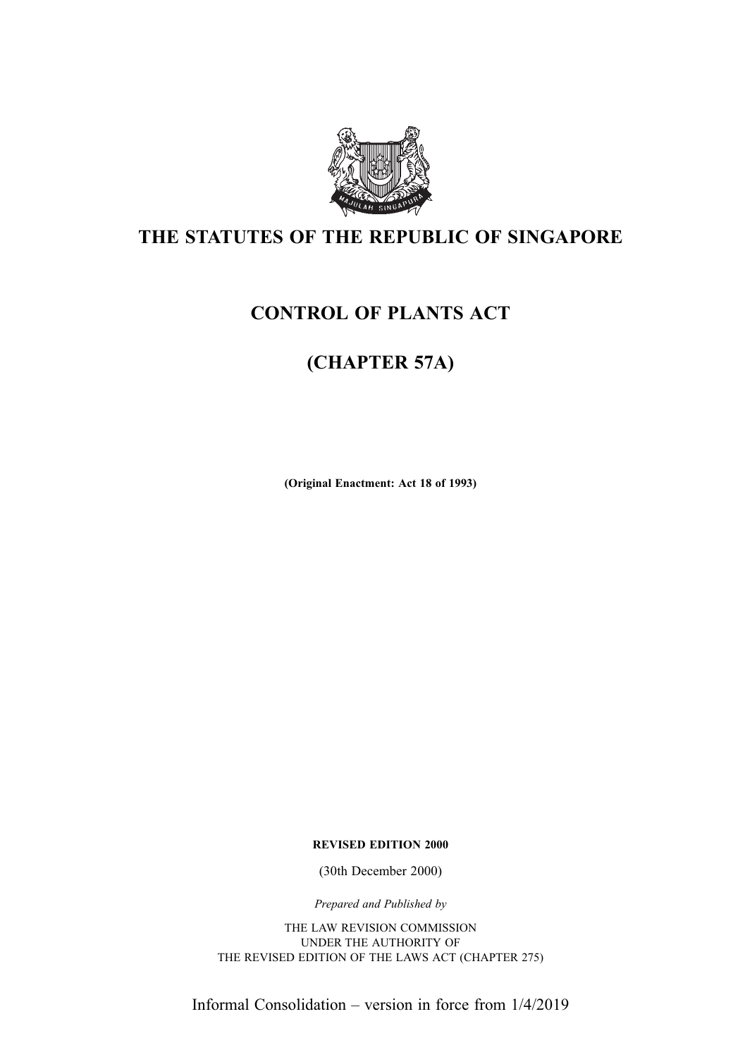

### THE STATUTES OF THE REPUBLIC OF SINGAPORE

# CONTROL OF PLANTS ACT

# (CHAPTER 57A)

(Original Enactment: Act 18 of 1993)

REVISED EDITION 2000

(30th December 2000)

Prepared and Published by

THE LAW REVISION COMMISSION UNDER THE AUTHORITY OF THE REVISED EDITION OF THE LAWS ACT (CHAPTER 275)

Informal Consolidation – version in force from 1/4/2019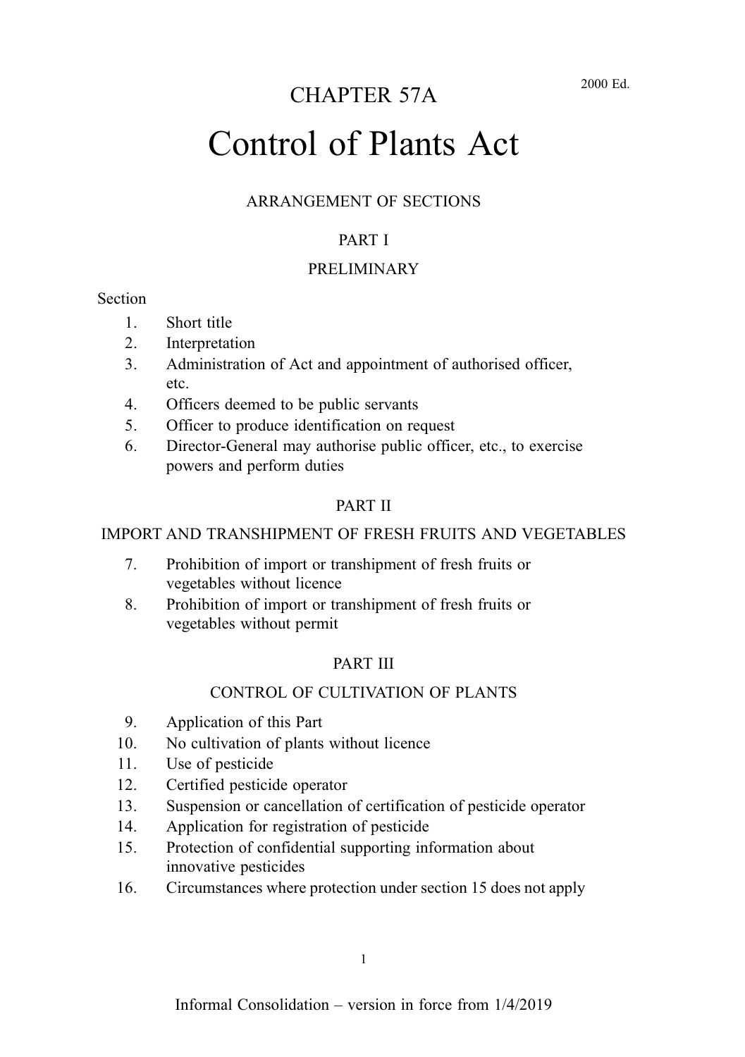# CHAPTER 57A

#### 2000 Ed.

# Control of Plants Act

#### ARRANGEMENT OF SECTIONS

#### PART I

#### PRELIMINARY

#### **Section**

- 1. Short title
- 2. Interpretation
- 3. Administration of Act and appointment of authorised officer, etc.
- 4. Officers deemed to be public servants
- 5. Officer to produce identification on request
- 6. Director-General may authorise public officer, etc., to exercise powers and perform duties

#### PART II

#### IMPORT AND TRANSHIPMENT OF FRESH FRUITS AND VEGETABLES

- 7. Prohibition of import or transhipment of fresh fruits or vegetables without licence
- 8. Prohibition of import or transhipment of fresh fruits or vegetables without permit

#### PART III

#### CONTROL OF CULTIVATION OF PLANTS

- 9. Application of this Part
- 10. No cultivation of plants without licence
- 11. Use of pesticide
- 12. Certified pesticide operator
- 13. Suspension or cancellation of certification of pesticide operator
- 14. Application for registration of pesticide
- 15. Protection of confidential supporting information about innovative pesticides
- 16. Circumstances where protection under section 15 does not apply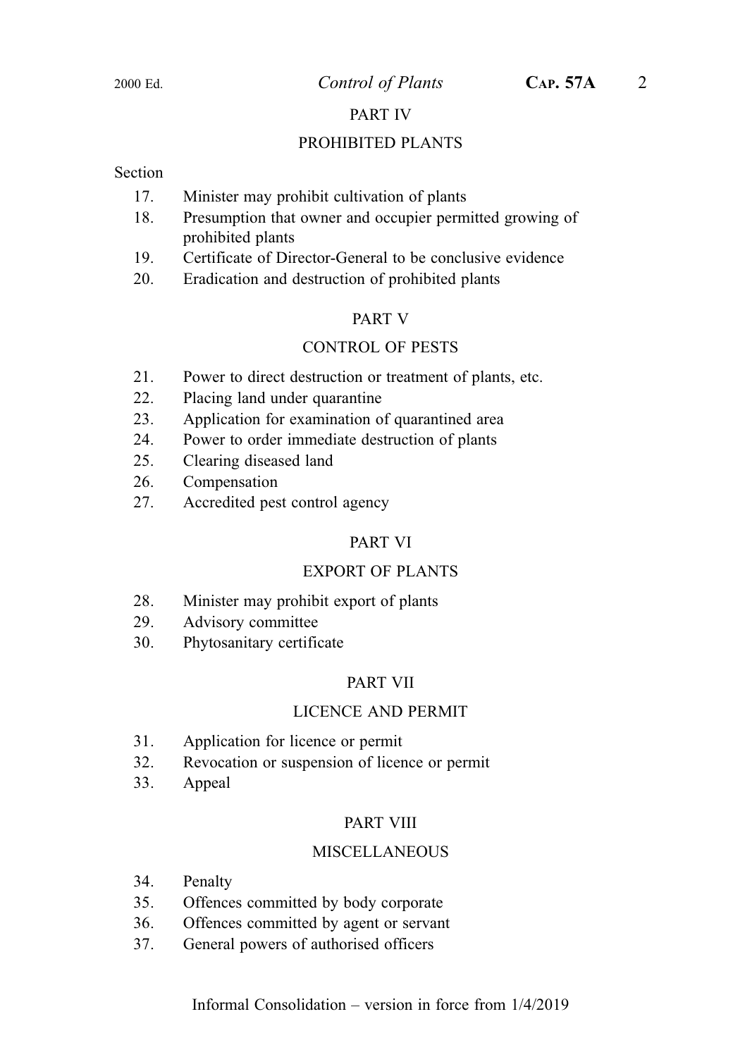#### PART IV

#### PROHIBITED PLANTS

#### **Section**

- 17. Minister may prohibit cultivation of plants
- 18. Presumption that owner and occupier permitted growing of prohibited plants
- 19. Certificate of Director-General to be conclusive evidence
- 20. Eradication and destruction of prohibited plants

#### PART V

#### CONTROL OF PESTS

- 21. Power to direct destruction or treatment of plants, etc.
- 22. Placing land under quarantine
- 23. Application for examination of quarantined area
- 24. Power to order immediate destruction of plants
- 25. Clearing diseased land
- 26. Compensation
- 27. Accredited pest control agency

#### PART VI

#### EXPORT OF PLANTS

- 28. Minister may prohibit export of plants
- 29. Advisory committee
- 30. Phytosanitary certificate

#### PART VII

#### LICENCE AND PERMIT

- 31. Application for licence or permit
- 32. Revocation or suspension of licence or permit
- 33. Appeal

#### PART VIII

#### MISCELLANEOUS

- 34. Penalty
- 35. Offences committed by body corporate
- 36. Offences committed by agent or servant
- 37. General powers of authorised officers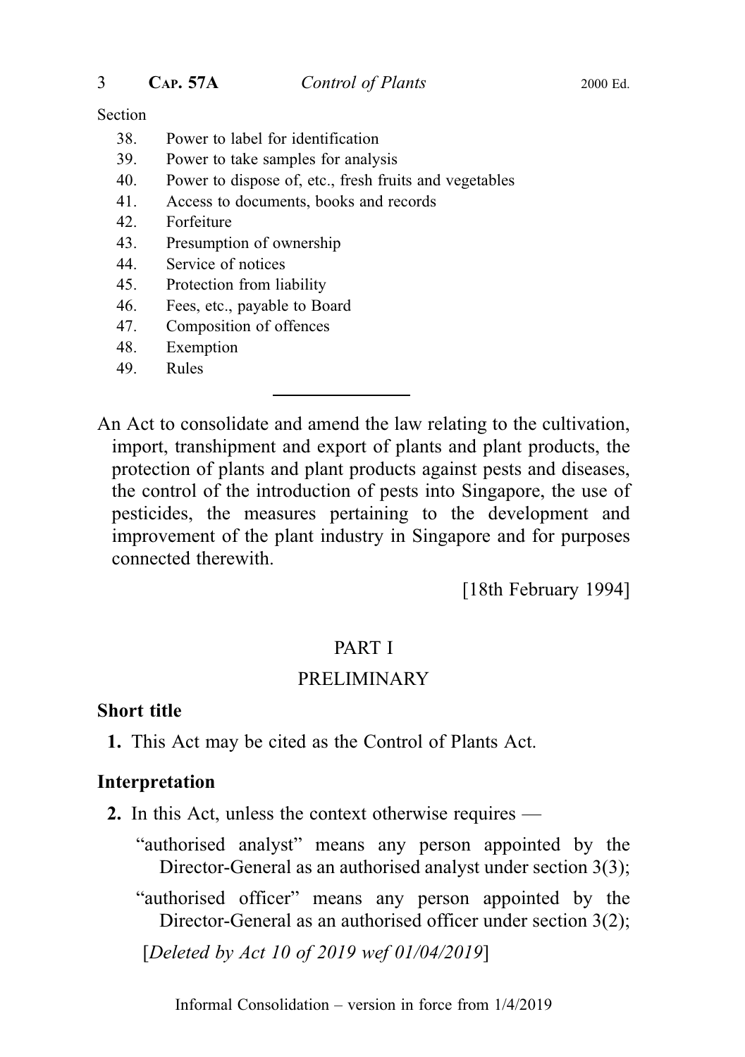#### Section

- 38. Power to label for identification
- 39. Power to take samples for analysis
- 40. Power to dispose of, etc., fresh fruits and vegetables
- 41. Access to documents, books and records
- 42. Forfeiture
- 43. Presumption of ownership
- 44. Service of notices
- 45. Protection from liability
- 46. Fees, etc., payable to Board
- 47. Composition of offences
- 48. Exemption
- 49. Rules

An Act to consolidate and amend the law relating to the cultivation, import, transhipment and export of plants and plant products, the protection of plants and plant products against pests and diseases, the control of the introduction of pests into Singapore, the use of pesticides, the measures pertaining to the development and improvement of the plant industry in Singapore and for purposes connected therewith.

[18th February 1994]

#### PART I

#### PRELIMINARY

#### Short title

1. This Act may be cited as the Control of Plants Act.

#### Interpretation

- 2. In this Act, unless the context otherwise requires
	- "authorised analyst" means any person appointed by the Director-General as an authorised analyst under section 3(3);
	- "authorised officer" means any person appointed by the Director-General as an authorised officer under section 3(2);

[Deleted by Act 10 of 2019 wef 01/04/2019]

Informal Consolidation – version in force from 1/4/2019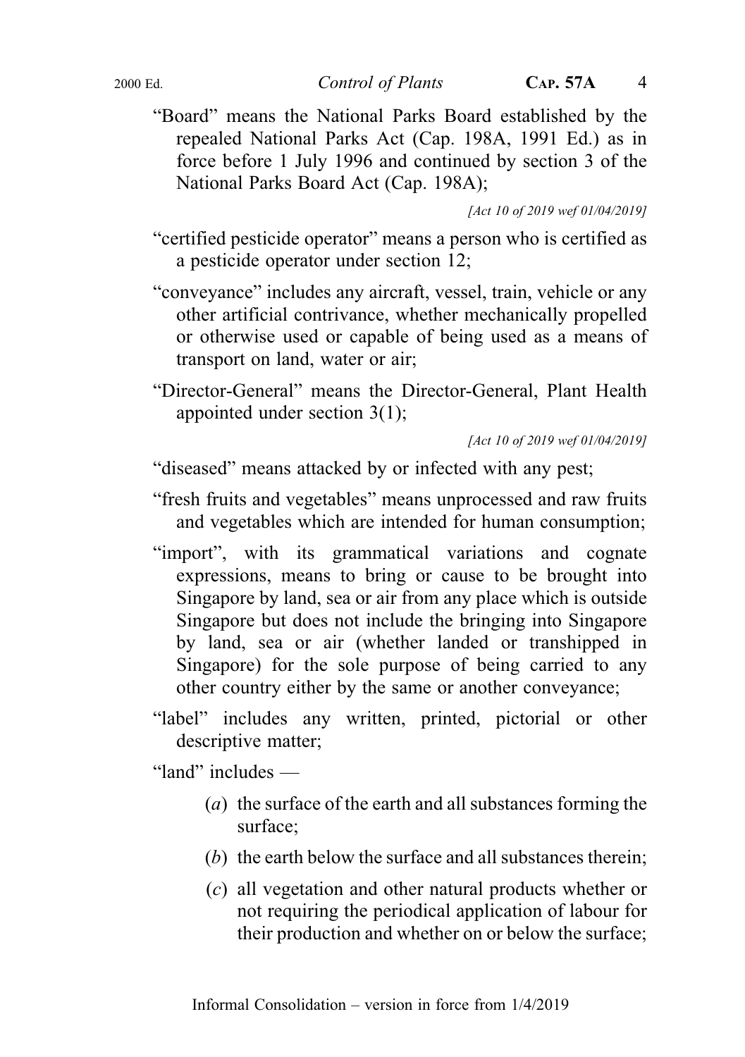"Board" means the National Parks Board established by the repealed National Parks Act (Cap. 198A, 1991 Ed.) as in force before 1 July 1996 and continued by section 3 of the National Parks Board Act (Cap. 198A);

[Act 10 of 2019 wef 01/04/2019]

- "certified pesticide operator" means a person who is certified as a pesticide operator under section 12;
- "conveyance" includes any aircraft, vessel, train, vehicle or any other artificial contrivance, whether mechanically propelled or otherwise used or capable of being used as a means of transport on land, water or air;
- "Director-General" means the Director-General, Plant Health appointed under section 3(1);

[Act 10 of 2019 wef 01/04/2019]

"diseased" means attacked by or infected with any pest;

- "fresh fruits and vegetables" means unprocessed and raw fruits and vegetables which are intended for human consumption;
- "import", with its grammatical variations and cognate expressions, means to bring or cause to be brought into Singapore by land, sea or air from any place which is outside Singapore but does not include the bringing into Singapore by land, sea or air (whether landed or transhipped in Singapore) for the sole purpose of being carried to any other country either by the same or another conveyance;
- "label" includes any written, printed, pictorial or other descriptive matter;

"land" includes —

- (a) the surface of the earth and all substances forming the surface;
- (b) the earth below the surface and all substances therein;
- (c) all vegetation and other natural products whether or not requiring the periodical application of labour for their production and whether on or below the surface;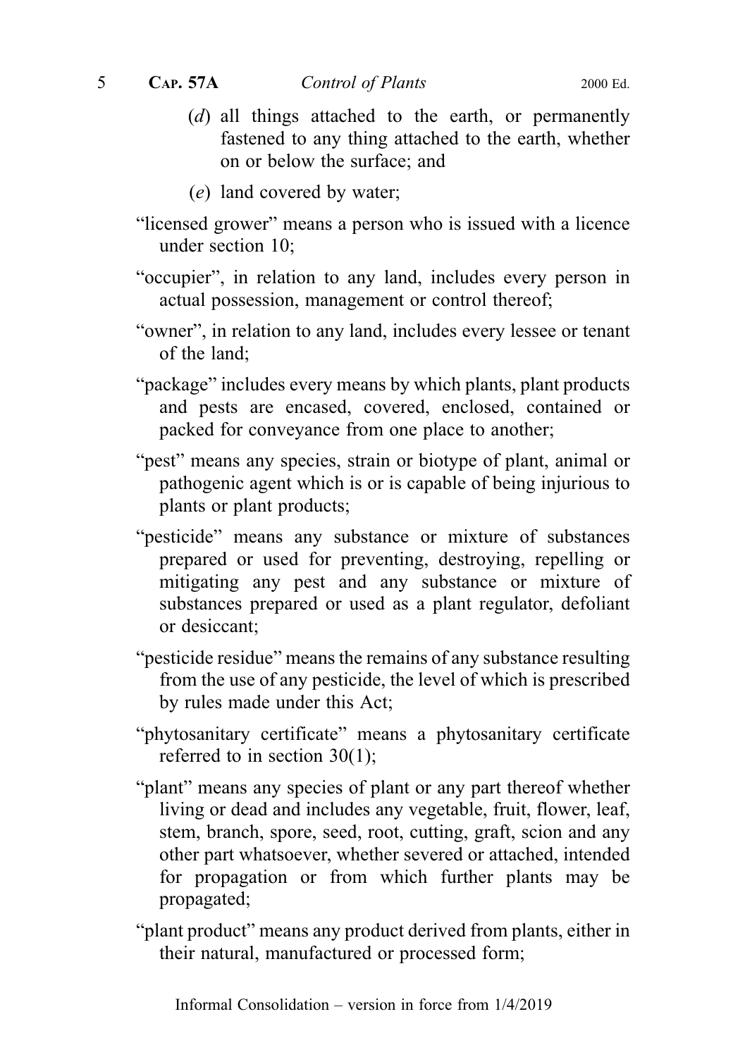- (d) all things attached to the earth, or permanently fastened to any thing attached to the earth, whether on or below the surface; and
- (e) land covered by water;
- "licensed grower" means a person who is issued with a licence under section 10;
- "occupier", in relation to any land, includes every person in actual possession, management or control thereof;
- "owner", in relation to any land, includes every lessee or tenant of the land;
- "package" includes every means by which plants, plant products and pests are encased, covered, enclosed, contained or packed for conveyance from one place to another;
- "pest" means any species, strain or biotype of plant, animal or pathogenic agent which is or is capable of being injurious to plants or plant products;
- "pesticide" means any substance or mixture of substances prepared or used for preventing, destroying, repelling or mitigating any pest and any substance or mixture of substances prepared or used as a plant regulator, defoliant or desiccant;
- "pesticide residue" means the remains of any substance resulting from the use of any pesticide, the level of which is prescribed by rules made under this Act;
- "phytosanitary certificate" means a phytosanitary certificate referred to in section 30(1);
- "plant" means any species of plant or any part thereof whether living or dead and includes any vegetable, fruit, flower, leaf, stem, branch, spore, seed, root, cutting, graft, scion and any other part whatsoever, whether severed or attached, intended for propagation or from which further plants may be propagated;
- "plant product" means any product derived from plants, either in their natural, manufactured or processed form;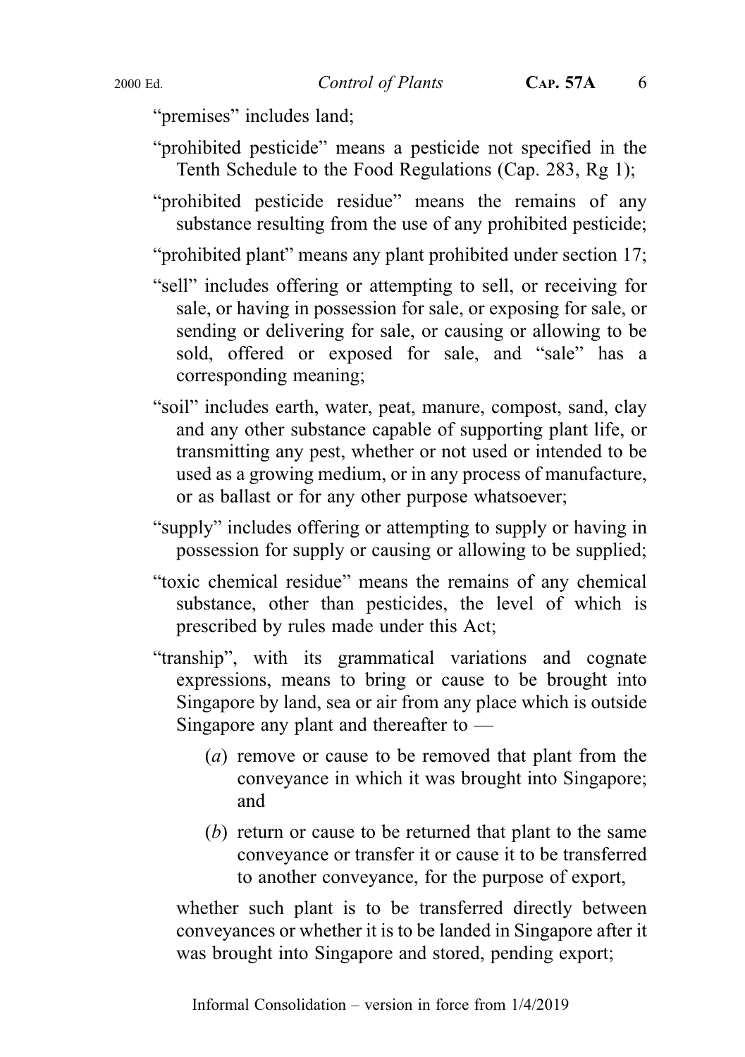"premises" includes land;

- "prohibited pesticide" means a pesticide not specified in the Tenth Schedule to the Food Regulations (Cap. 283, Rg 1);
- "prohibited pesticide residue" means the remains of any substance resulting from the use of any prohibited pesticide;

"prohibited plant" means any plant prohibited under section 17;

- "sell" includes offering or attempting to sell, or receiving for sale, or having in possession for sale, or exposing for sale, or sending or delivering for sale, or causing or allowing to be sold, offered or exposed for sale, and "sale" has a corresponding meaning;
- "soil" includes earth, water, peat, manure, compost, sand, clay and any other substance capable of supporting plant life, or transmitting any pest, whether or not used or intended to be used as a growing medium, or in any process of manufacture, or as ballast or for any other purpose whatsoever;
- "supply" includes offering or attempting to supply or having in possession for supply or causing or allowing to be supplied;
- "toxic chemical residue" means the remains of any chemical substance, other than pesticides, the level of which is prescribed by rules made under this Act;
- "tranship", with its grammatical variations and cognate expressions, means to bring or cause to be brought into Singapore by land, sea or air from any place which is outside Singapore any plant and thereafter to —
	- (a) remove or cause to be removed that plant from the conveyance in which it was brought into Singapore; and
	- (b) return or cause to be returned that plant to the same conveyance or transfer it or cause it to be transferred to another conveyance, for the purpose of export,

whether such plant is to be transferred directly between conveyances or whether it is to be landed in Singapore after it was brought into Singapore and stored, pending export;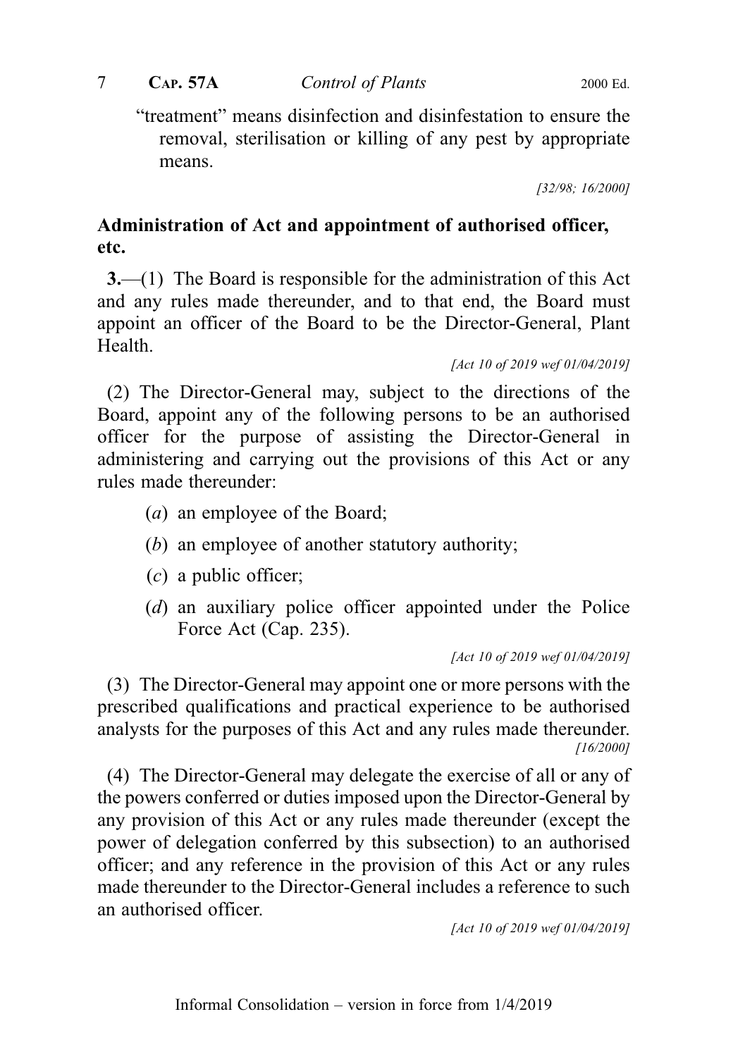"treatment" means disinfection and disinfestation to ensure the removal, sterilisation or killing of any pest by appropriate means.

[32/98; 16/2000]

### Administration of Act and appointment of authorised officer, etc.

3.—(1) The Board is responsible for the administration of this Act and any rules made thereunder, and to that end, the Board must appoint an officer of the Board to be the Director-General, Plant Health.

```
[Act 10 of 2019 wef 01/04/2019]
```
(2) The Director-General may, subject to the directions of the Board, appoint any of the following persons to be an authorised officer for the purpose of assisting the Director-General in administering and carrying out the provisions of this Act or any rules made thereunder:

- (a) an employee of the Board;
- (b) an employee of another statutory authority;
- $(c)$  a public officer;
- (d) an auxiliary police officer appointed under the Police Force Act (Cap. 235).

[Act 10 of 2019 wef 01/04/2019]

(3) The Director-General may appoint one or more persons with the prescribed qualifications and practical experience to be authorised analysts for the purposes of this Act and any rules made thereunder. [16/2000]

(4) The Director-General may delegate the exercise of all or any of the powers conferred or duties imposed upon the Director-General by any provision of this Act or any rules made thereunder (except the power of delegation conferred by this subsection) to an authorised officer; and any reference in the provision of this Act or any rules made thereunder to the Director-General includes a reference to such an authorised officer.

[Act 10 of 2019 wef 01/04/2019]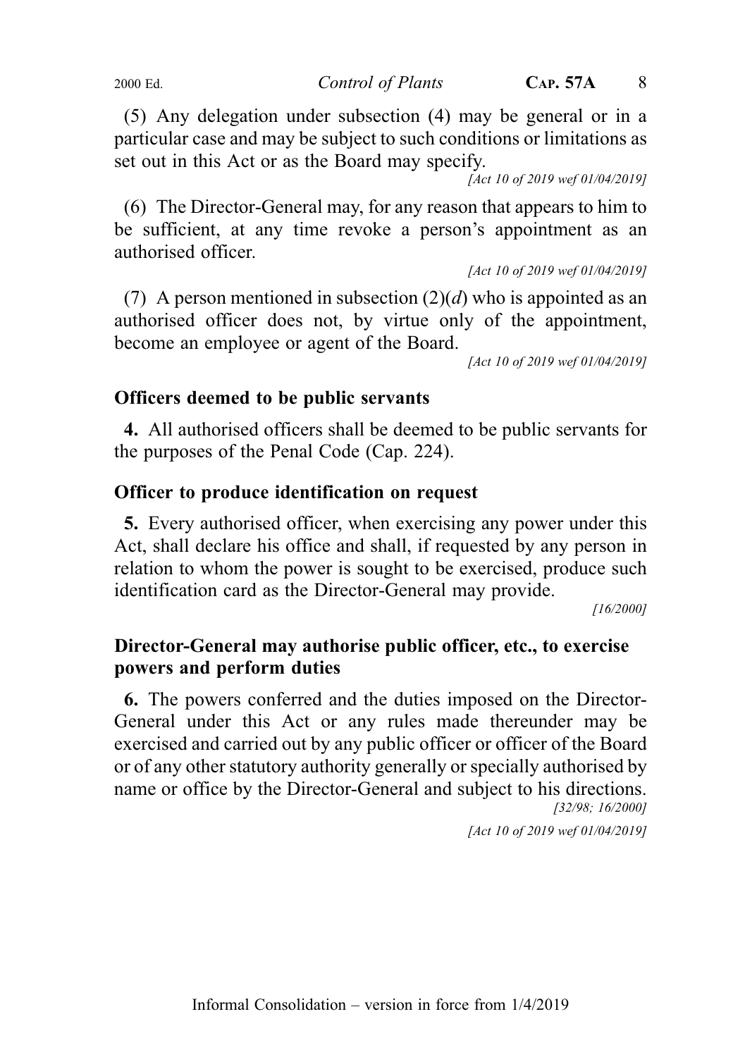(5) Any delegation under subsection (4) may be general or in a particular case and may be subject to such conditions or limitations as set out in this Act or as the Board may specify.

[Act 10 of 2019 wef 01/04/2019]

(6) The Director-General may, for any reason that appears to him to be sufficient, at any time revoke a person's appointment as an authorised officer.

[Act 10 of 2019 wef 01/04/2019]

(7) A person mentioned in subsection  $(2)(d)$  who is appointed as an authorised officer does not, by virtue only of the appointment, become an employee or agent of the Board.

[Act 10 of 2019 wef 01/04/2019]

#### Officers deemed to be public servants

4. All authorised officers shall be deemed to be public servants for the purposes of the Penal Code (Cap. 224).

### Officer to produce identification on request

5. Every authorised officer, when exercising any power under this Act, shall declare his office and shall, if requested by any person in relation to whom the power is sought to be exercised, produce such identification card as the Director-General may provide.

[16/2000]

### Director-General may authorise public officer, etc., to exercise powers and perform duties

6. The powers conferred and the duties imposed on the Director-General under this Act or any rules made thereunder may be exercised and carried out by any public officer or officer of the Board or of any other statutory authority generally or specially authorised by name or office by the Director-General and subject to his directions. [32/98; 16/2000]

[Act 10 of 2019 wef 01/04/2019]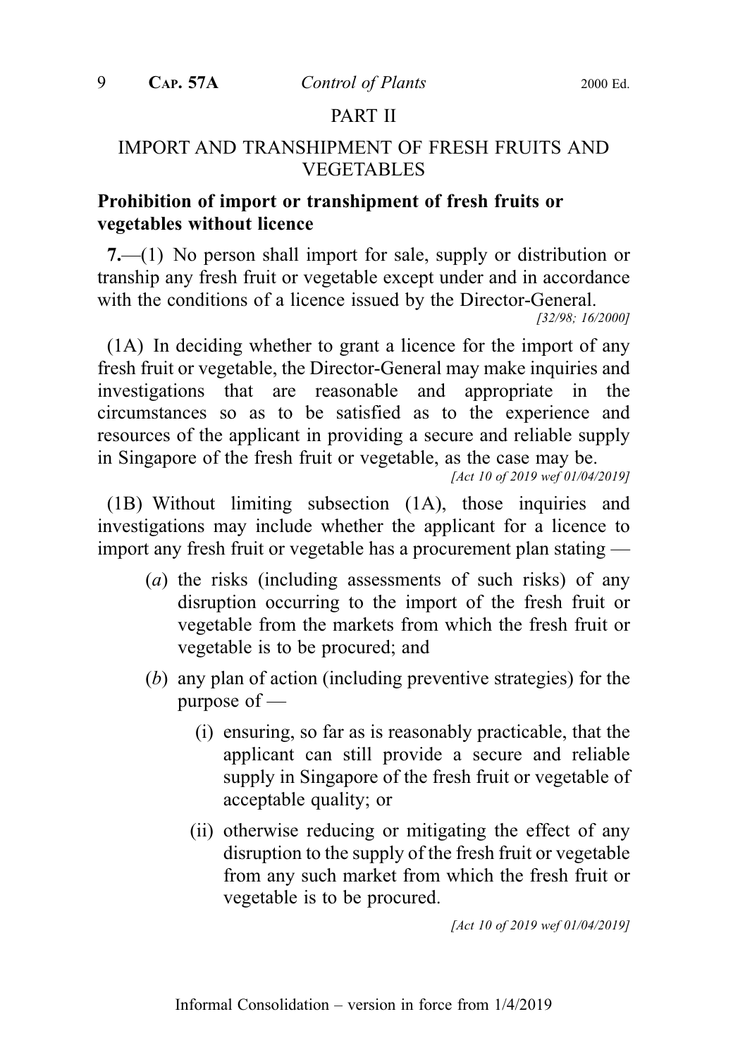#### PART II

#### IMPORT AND TRANSHIPMENT OF FRESH FRUITS AND VEGETABLES

#### Prohibition of import or transhipment of fresh fruits or vegetables without licence

7.—(1) No person shall import for sale, supply or distribution or tranship any fresh fruit or vegetable except under and in accordance with the conditions of a licence issued by the Director-General.

[32/98; 16/2000]

(1A) In deciding whether to grant a licence for the import of any fresh fruit or vegetable, the Director-General may make inquiries and investigations that are reasonable and appropriate in the circumstances so as to be satisfied as to the experience and resources of the applicant in providing a secure and reliable supply in Singapore of the fresh fruit or vegetable, as the case may be.

[Act 10 of 2019 wef 01/04/2019]

(1B) Without limiting subsection (1A), those inquiries and investigations may include whether the applicant for a licence to import any fresh fruit or vegetable has a procurement plan stating —

- (a) the risks (including assessments of such risks) of any disruption occurring to the import of the fresh fruit or vegetable from the markets from which the fresh fruit or vegetable is to be procured; and
- (b) any plan of action (including preventive strategies) for the purpose of —
	- (i) ensuring, so far as is reasonably practicable, that the applicant can still provide a secure and reliable supply in Singapore of the fresh fruit or vegetable of acceptable quality; or
	- (ii) otherwise reducing or mitigating the effect of any disruption to the supply of the fresh fruit or vegetable from any such market from which the fresh fruit or vegetable is to be procured.

[Act 10 of 2019 wef 01/04/2019]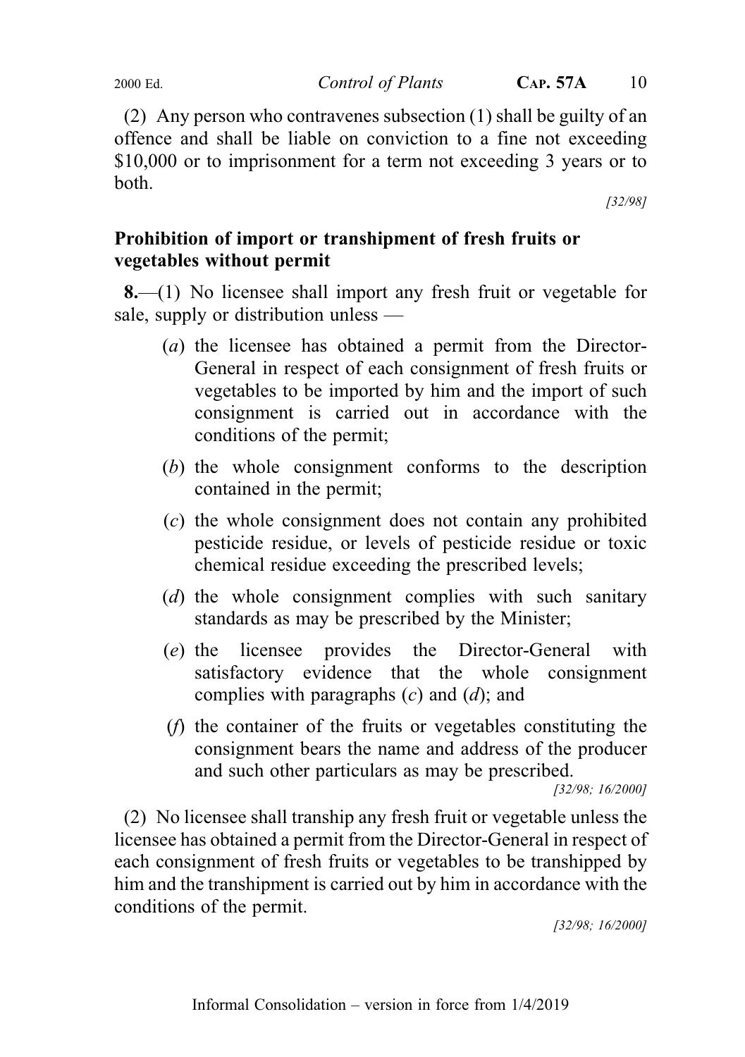2000 Ed. Control of Plants CAP. 57A 10

(2) Any person who contravenes subsection (1) shall be guilty of an offence and shall be liable on conviction to a fine not exceeding \$10,000 or to imprisonment for a term not exceeding 3 years or to both.

[32/98]

### Prohibition of import or transhipment of fresh fruits or vegetables without permit

8.—(1) No licensee shall import any fresh fruit or vegetable for sale, supply or distribution unless —

- (a) the licensee has obtained a permit from the Director-General in respect of each consignment of fresh fruits or vegetables to be imported by him and the import of such consignment is carried out in accordance with the conditions of the permit;
- (b) the whole consignment conforms to the description contained in the permit;
- (c) the whole consignment does not contain any prohibited pesticide residue, or levels of pesticide residue or toxic chemical residue exceeding the prescribed levels;
- (d) the whole consignment complies with such sanitary standards as may be prescribed by the Minister;
- (e) the licensee provides the Director-General with satisfactory evidence that the whole consignment complies with paragraphs  $(c)$  and  $(d)$ ; and
- (f) the container of the fruits or vegetables constituting the consignment bears the name and address of the producer and such other particulars as may be prescribed.

[32/98; 16/2000]

(2) No licensee shall tranship any fresh fruit or vegetable unless the licensee has obtained a permit from the Director-General in respect of each consignment of fresh fruits or vegetables to be transhipped by him and the transhipment is carried out by him in accordance with the conditions of the permit.

[32/98; 16/2000]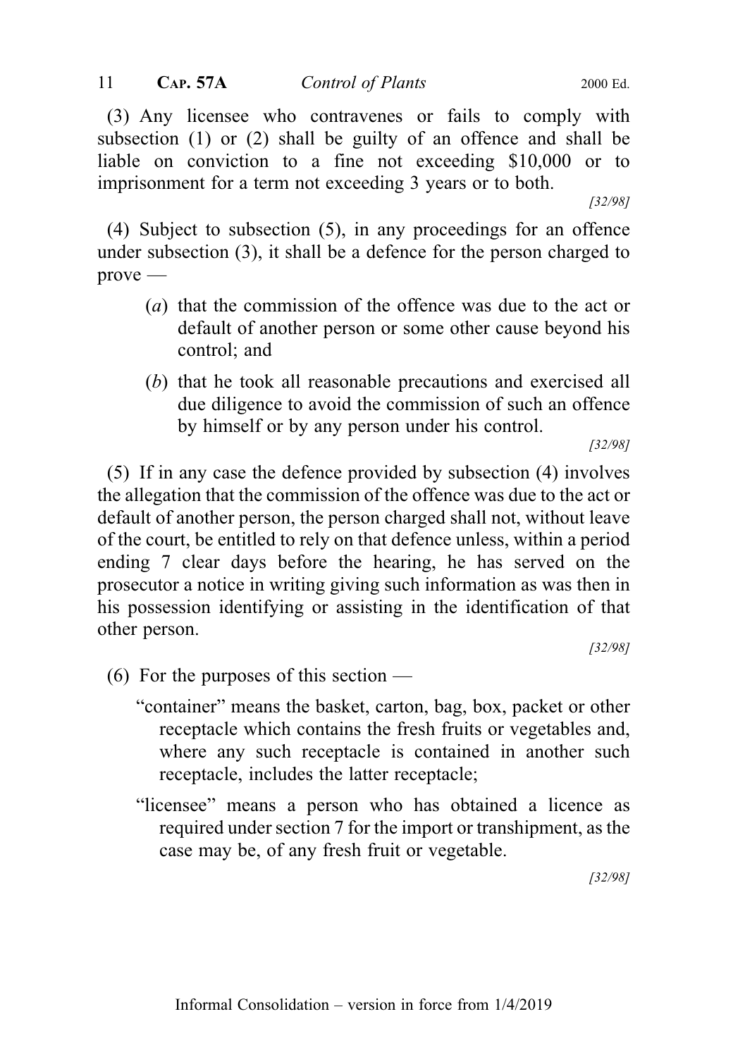(3) Any licensee who contravenes or fails to comply with subsection (1) or (2) shall be guilty of an offence and shall be liable on conviction to a fine not exceeding \$10,000 or to imprisonment for a term not exceeding 3 years or to both.

[32/98]

(4) Subject to subsection (5), in any proceedings for an offence under subsection (3), it shall be a defence for the person charged to prove —

- (a) that the commission of the offence was due to the act or default of another person or some other cause beyond his control; and
- (b) that he took all reasonable precautions and exercised all due diligence to avoid the commission of such an offence by himself or by any person under his control.

[32/98]

(5) If in any case the defence provided by subsection (4) involves the allegation that the commission of the offence was due to the act or default of another person, the person charged shall not, without leave of the court, be entitled to rely on that defence unless, within a period ending 7 clear days before the hearing, he has served on the prosecutor a notice in writing giving such information as was then in his possession identifying or assisting in the identification of that other person.

[32/98]

- (6) For the purposes of this section
	- "container" means the basket, carton, bag, box, packet or other receptacle which contains the fresh fruits or vegetables and, where any such receptacle is contained in another such receptacle, includes the latter receptacle;
	- "licensee" means a person who has obtained a licence as required under section 7 for the import or transhipment, as the case may be, of any fresh fruit or vegetable.

[32/98]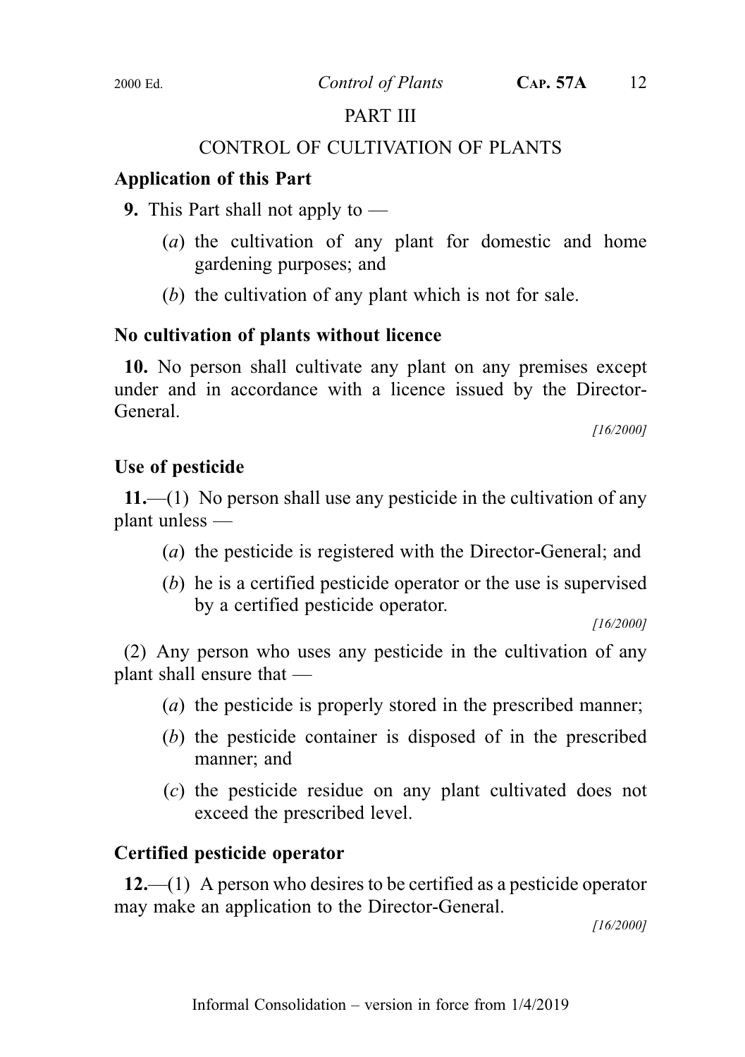# PART III

### CONTROL OF CULTIVATION OF PLANTS

### Application of this Part

**9.** This Part shall not apply to  $-$ 

- (a) the cultivation of any plant for domestic and home gardening purposes; and
- (b) the cultivation of any plant which is not for sale.

### No cultivation of plants without licence

10. No person shall cultivate any plant on any premises except under and in accordance with a licence issued by the Director-General.

[16/2000]

### Use of pesticide

 $11.$ —(1) No person shall use any pesticide in the cultivation of any plant unless —

- (a) the pesticide is registered with the Director-General; and
- (b) he is a certified pesticide operator or the use is supervised by a certified pesticide operator.

[16/2000]

(2) Any person who uses any pesticide in the cultivation of any plant shall ensure that —

- (*a*) the pesticide is properly stored in the prescribed manner;
- (b) the pesticide container is disposed of in the prescribed manner; and
- (c) the pesticide residue on any plant cultivated does not exceed the prescribed level.

### Certified pesticide operator

 $12$ —(1) A person who desires to be certified as a pesticide operator may make an application to the Director-General.

[16/2000]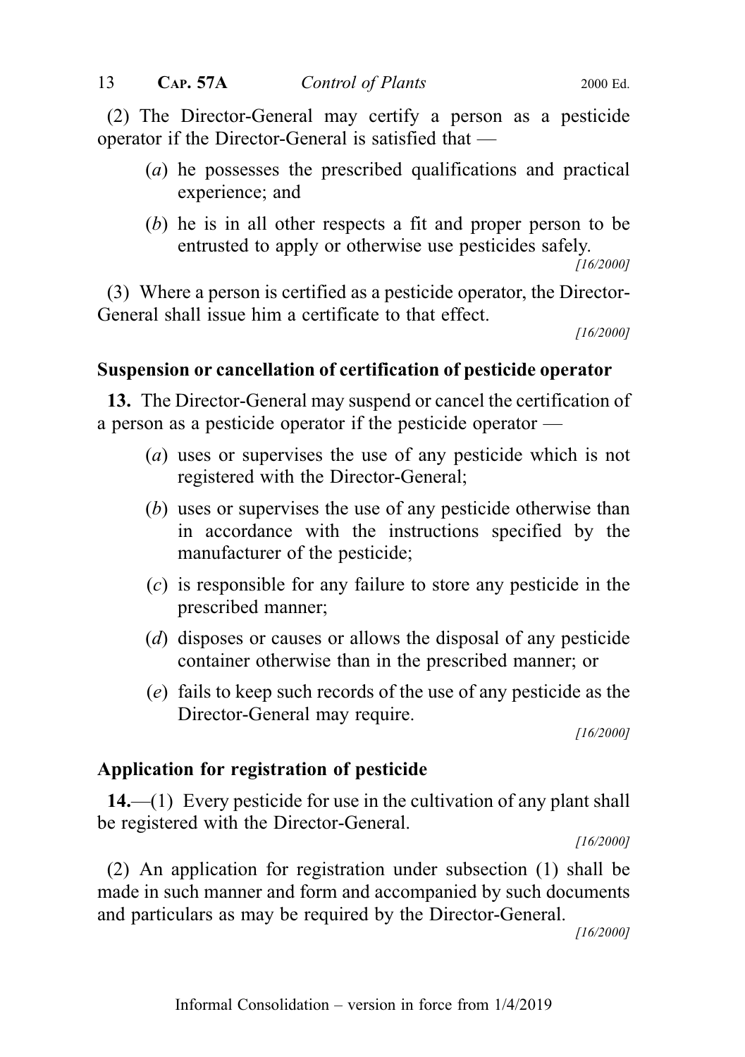(2) The Director-General may certify a person as a pesticide

- operator if the Director-General is satisfied that
	- (a) he possesses the prescribed qualifications and practical experience; and
	- (b) he is in all other respects a fit and proper person to be entrusted to apply or otherwise use pesticides safely.

[16/2000]

(3) Where a person is certified as a pesticide operator, the Director-General shall issue him a certificate to that effect.

[16/2000]

#### Suspension or cancellation of certification of pesticide operator

13. The Director-General may suspend or cancel the certification of a person as a pesticide operator if the pesticide operator —

- (a) uses or supervises the use of any pesticide which is not registered with the Director-General;
- (b) uses or supervises the use of any pesticide otherwise than in accordance with the instructions specified by the manufacturer of the pesticide;
- (c) is responsible for any failure to store any pesticide in the prescribed manner;
- (d) disposes or causes or allows the disposal of any pesticide container otherwise than in the prescribed manner; or
- (e) fails to keep such records of the use of any pesticide as the Director-General may require.

[16/2000]

#### Application for registration of pesticide

14.—(1) Every pesticide for use in the cultivation of any plant shall be registered with the Director-General.

[16/2000]

(2) An application for registration under subsection (1) shall be made in such manner and form and accompanied by such documents and particulars as may be required by the Director-General.

[16/2000]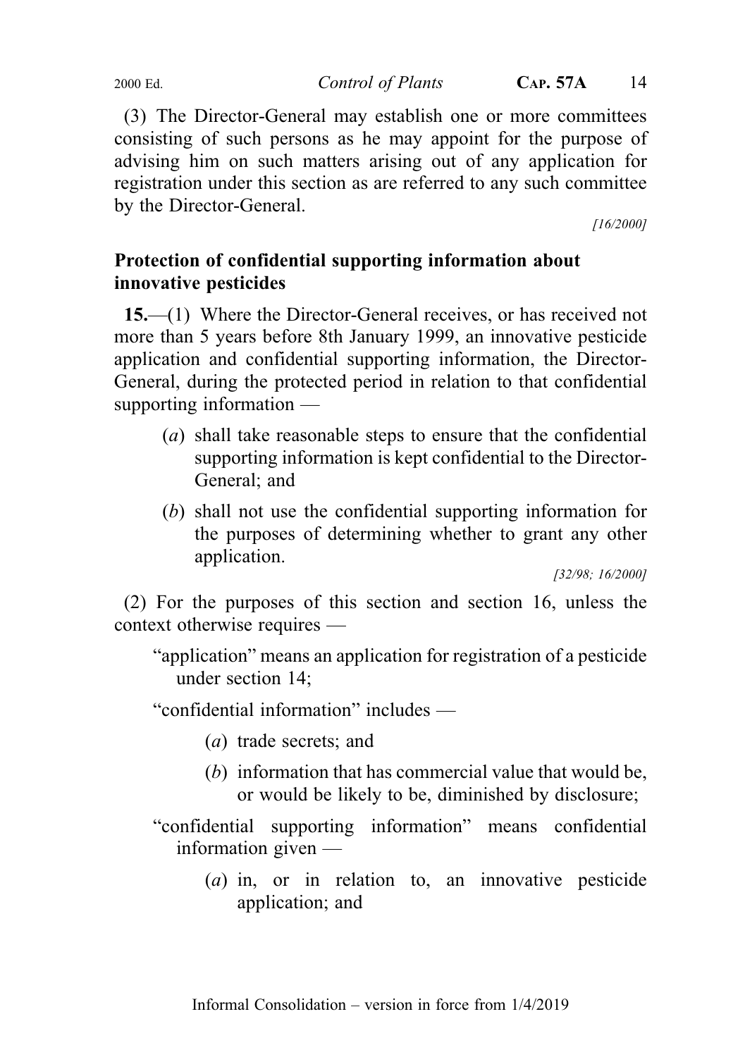(3) The Director-General may establish one or more committees consisting of such persons as he may appoint for the purpose of advising him on such matters arising out of any application for registration under this section as are referred to any such committee by the Director-General.

[16/2000]

### Protection of confidential supporting information about innovative pesticides

15.—(1) Where the Director-General receives, or has received not more than 5 years before 8th January 1999, an innovative pesticide application and confidential supporting information, the Director-General, during the protected period in relation to that confidential supporting information —

- (a) shall take reasonable steps to ensure that the confidential supporting information is kept confidential to the Director-General; and
- (b) shall not use the confidential supporting information for the purposes of determining whether to grant any other application.

[32/98; 16/2000]

(2) For the purposes of this section and section 16, unless the context otherwise requires —

"application" means an application for registration of a pesticide under section 14;

"confidential information" includes —

- (a) trade secrets; and
- (b) information that has commercial value that would be, or would be likely to be, diminished by disclosure;
- "confidential supporting information" means confidential information given —
	- (a) in, or in relation to, an innovative pesticide application; and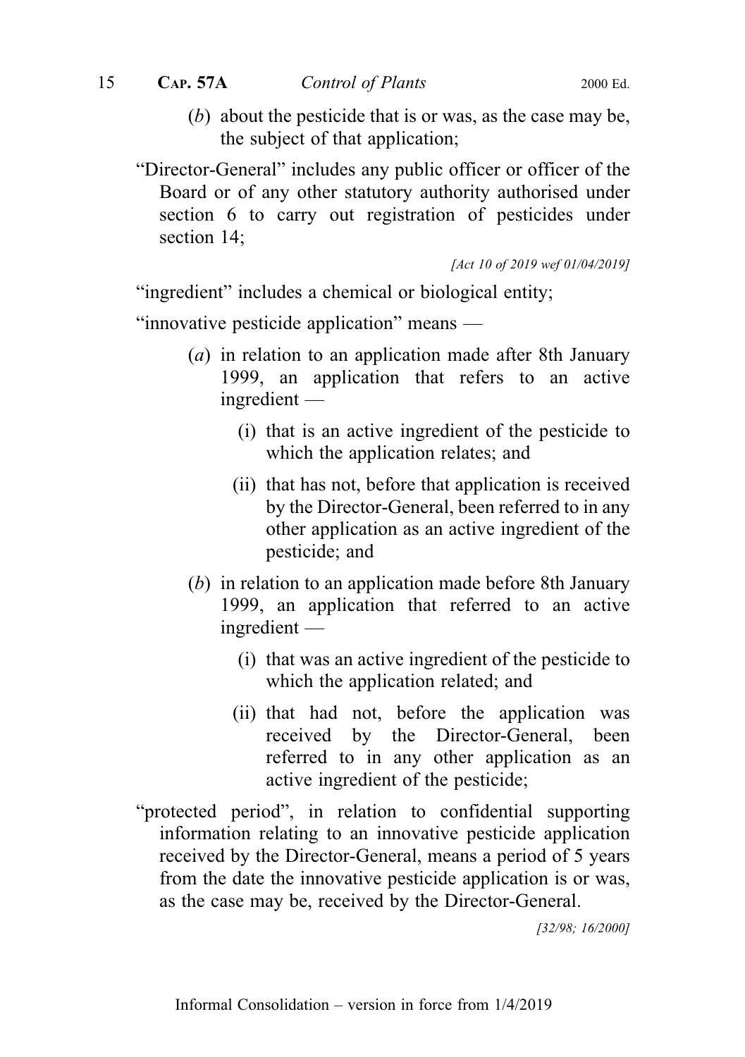- (b) about the pesticide that is or was, as the case may be, the subject of that application;
- "Director-General" includes any public officer or officer of the Board or of any other statutory authority authorised under section 6 to carry out registration of pesticides under section 14;

[Act 10 of 2019 wef 01/04/2019]

"ingredient" includes a chemical or biological entity;

"innovative pesticide application" means —

- (a) in relation to an application made after 8th January 1999, an application that refers to an active ingredient —
	- (i) that is an active ingredient of the pesticide to which the application relates; and
	- (ii) that has not, before that application is received by the Director-General, been referred to in any other application as an active ingredient of the pesticide; and
- (b) in relation to an application made before 8th January 1999, an application that referred to an active ingredient —
	- (i) that was an active ingredient of the pesticide to which the application related; and
	- (ii) that had not, before the application was received by the Director-General, been referred to in any other application as an active ingredient of the pesticide;
- "protected period", in relation to confidential supporting information relating to an innovative pesticide application received by the Director-General, means a period of 5 years from the date the innovative pesticide application is or was, as the case may be, received by the Director-General.

[32/98; 16/2000]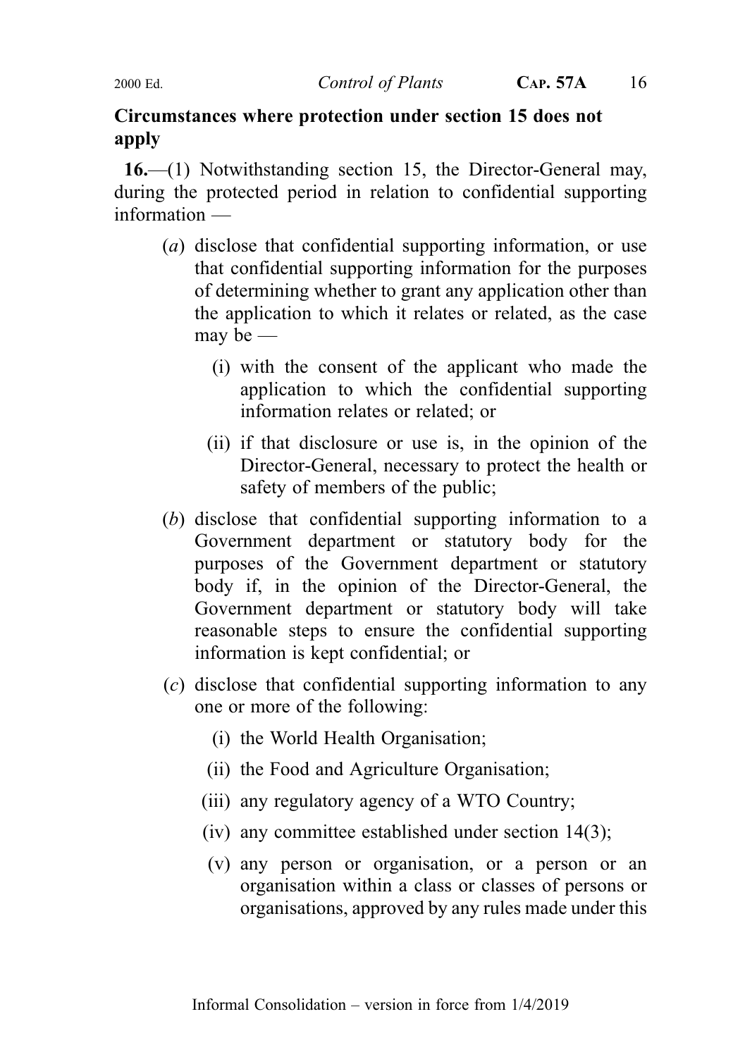#### Circumstances where protection under section 15 does not apply

16.—(1) Notwithstanding section 15, the Director-General may, during the protected period in relation to confidential supporting information —

- (a) disclose that confidential supporting information, or use that confidential supporting information for the purposes of determining whether to grant any application other than the application to which it relates or related, as the case may be  $-$ 
	- (i) with the consent of the applicant who made the application to which the confidential supporting information relates or related; or
	- (ii) if that disclosure or use is, in the opinion of the Director-General, necessary to protect the health or safety of members of the public;
- (b) disclose that confidential supporting information to a Government department or statutory body for the purposes of the Government department or statutory body if, in the opinion of the Director-General, the Government department or statutory body will take reasonable steps to ensure the confidential supporting information is kept confidential; or
- (c) disclose that confidential supporting information to any one or more of the following:
	- (i) the World Health Organisation;
	- (ii) the Food and Agriculture Organisation;
	- (iii) any regulatory agency of a WTO Country;
	- (iv) any committee established under section 14(3);
	- (v) any person or organisation, or a person or an organisation within a class or classes of persons or organisations, approved by any rules made under this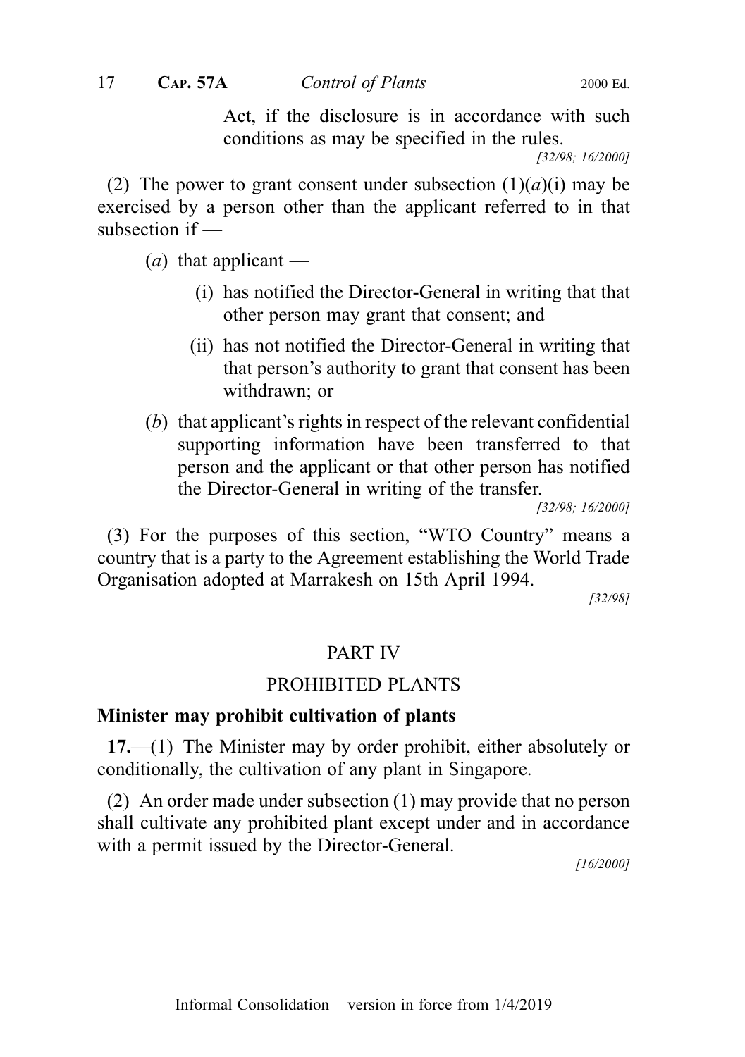Act, if the disclosure is in accordance with such conditions as may be specified in the rules.

[32/98; 16/2000]

(2) The power to grant consent under subsection  $(1)(a)(i)$  may be exercised by a person other than the applicant referred to in that subsection if —

(*a*) that applicant —

- (i) has notified the Director-General in writing that that other person may grant that consent; and
- (ii) has not notified the Director-General in writing that that person's authority to grant that consent has been withdrawn; or
- (b) that applicant's rights in respect of the relevant confidential supporting information have been transferred to that person and the applicant or that other person has notified the Director-General in writing of the transfer.

[32/98; 16/2000]

(3) For the purposes of this section, "WTO Country" means a country that is a party to the Agreement establishing the World Trade Organisation adopted at Marrakesh on 15th April 1994.

[32/98]

### PART IV

#### PROHIBITED PLANTS

#### Minister may prohibit cultivation of plants

17.—(1) The Minister may by order prohibit, either absolutely or conditionally, the cultivation of any plant in Singapore.

(2) An order made under subsection (1) may provide that no person shall cultivate any prohibited plant except under and in accordance with a permit issued by the Director-General.

[16/2000]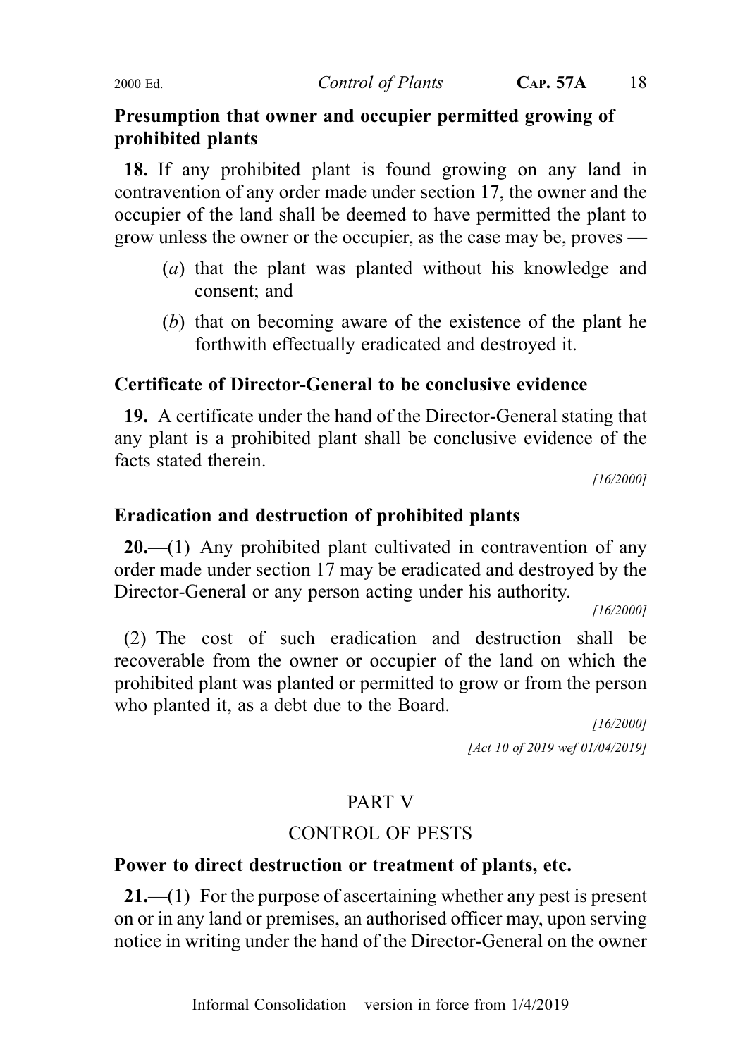#### Presumption that owner and occupier permitted growing of prohibited plants

18. If any prohibited plant is found growing on any land in contravention of any order made under section 17, the owner and the occupier of the land shall be deemed to have permitted the plant to grow unless the owner or the occupier, as the case may be, proves —

- (a) that the plant was planted without his knowledge and consent; and
- (b) that on becoming aware of the existence of the plant he forthwith effectually eradicated and destroyed it.

#### Certificate of Director-General to be conclusive evidence

19. A certificate under the hand of the Director-General stating that any plant is a prohibited plant shall be conclusive evidence of the facts stated therein.

[16/2000]

#### Eradication and destruction of prohibited plants

 $20$ —(1) Any prohibited plant cultivated in contravention of any order made under section 17 may be eradicated and destroyed by the Director-General or any person acting under his authority.

[16/2000]

(2) The cost of such eradication and destruction shall be recoverable from the owner or occupier of the land on which the prohibited plant was planted or permitted to grow or from the person who planted it, as a debt due to the Board.

> [16/2000] [Act 10 of 2019 wef 01/04/2019]

#### PART V

#### CONTROL OF PESTS

#### Power to direct destruction or treatment of plants, etc.

21.—(1) For the purpose of ascertaining whether any pest is present on or in any land or premises, an authorised officer may, upon serving notice in writing under the hand of the Director-General on the owner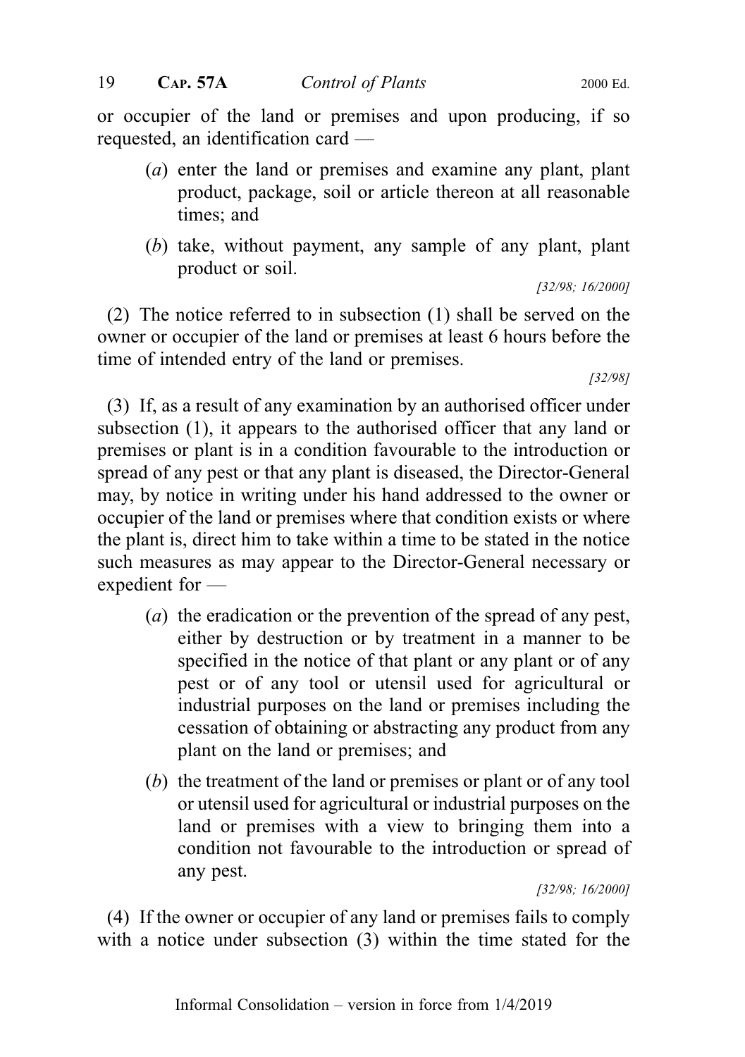or occupier of the land or premises and upon producing, if so requested, an identification card —

- (a) enter the land or premises and examine any plant, plant product, package, soil or article thereon at all reasonable times; and
- (b) take, without payment, any sample of any plant, plant product or soil.

[32/98; 16/2000]

(2) The notice referred to in subsection (1) shall be served on the owner or occupier of the land or premises at least 6 hours before the time of intended entry of the land or premises.

[32/98]

(3) If, as a result of any examination by an authorised officer under subsection (1), it appears to the authorised officer that any land or premises or plant is in a condition favourable to the introduction or spread of any pest or that any plant is diseased, the Director-General may, by notice in writing under his hand addressed to the owner or occupier of the land or premises where that condition exists or where the plant is, direct him to take within a time to be stated in the notice such measures as may appear to the Director-General necessary or expedient for —

- (a) the eradication or the prevention of the spread of any pest, either by destruction or by treatment in a manner to be specified in the notice of that plant or any plant or of any pest or of any tool or utensil used for agricultural or industrial purposes on the land or premises including the cessation of obtaining or abstracting any product from any plant on the land or premises; and
- (b) the treatment of the land or premises or plant or of any tool or utensil used for agricultural or industrial purposes on the land or premises with a view to bringing them into a condition not favourable to the introduction or spread of any pest.

[32/98; 16/2000]

(4) If the owner or occupier of any land or premises fails to comply with a notice under subsection (3) within the time stated for the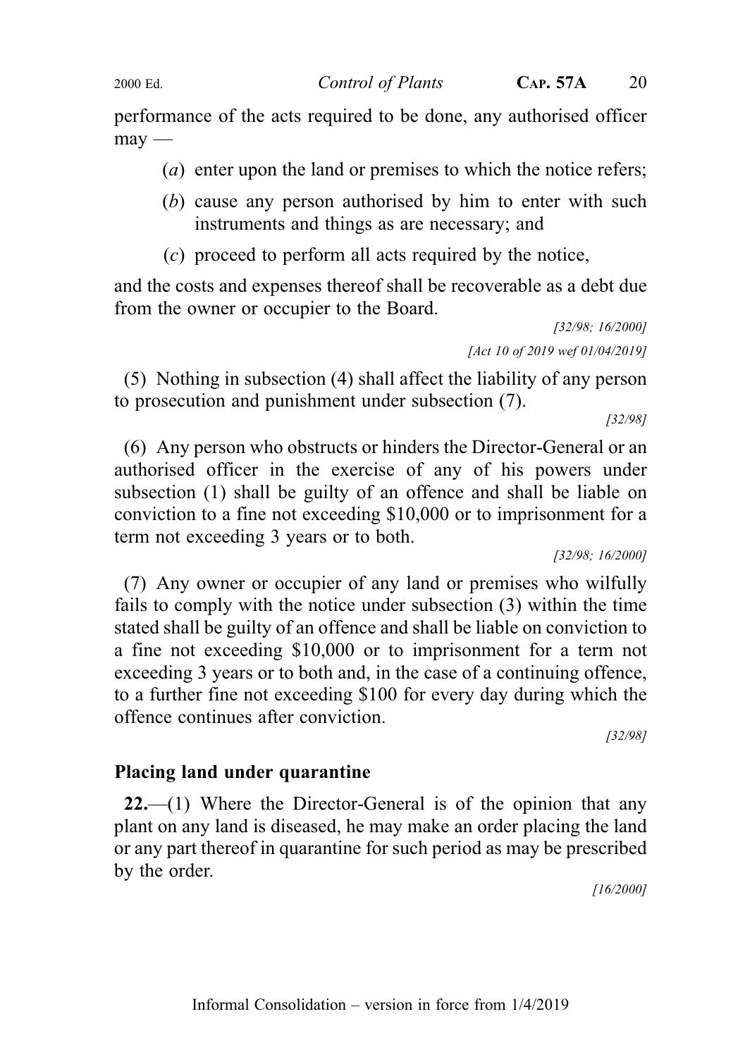performance of the acts required to be done, any authorised officer  $m$ ay  $-$ 

- (*a*) enter upon the land or premises to which the notice refers;
- (b) cause any person authorised by him to enter with such instruments and things as are necessary; and
- (c) proceed to perform all acts required by the notice,

and the costs and expenses thereof shall be recoverable as a debt due from the owner or occupier to the Board.

> [32/98; 16/2000] [Act 10 of 2019 wef 01/04/2019]

(5) Nothing in subsection (4) shall affect the liability of any person to prosecution and punishment under subsection (7).

(6) Any person who obstructs or hinders the Director-General or an authorised officer in the exercise of any of his powers under subsection (1) shall be guilty of an offence and shall be liable on conviction to a fine not exceeding \$10,000 or to imprisonment for a term not exceeding 3 years or to both.

[32/98; 16/2000]

[32/98]

(7) Any owner or occupier of any land or premises who wilfully fails to comply with the notice under subsection (3) within the time stated shall be guilty of an offence and shall be liable on conviction to a fine not exceeding \$10,000 or to imprisonment for a term not exceeding 3 years or to both and, in the case of a continuing offence, to a further fine not exceeding \$100 for every day during which the offence continues after conviction.

[32/98]

#### Placing land under quarantine

 $22$ .—(1) Where the Director-General is of the opinion that any plant on any land is diseased, he may make an order placing the land or any part thereof in quarantine for such period as may be prescribed by the order.

[16/2000]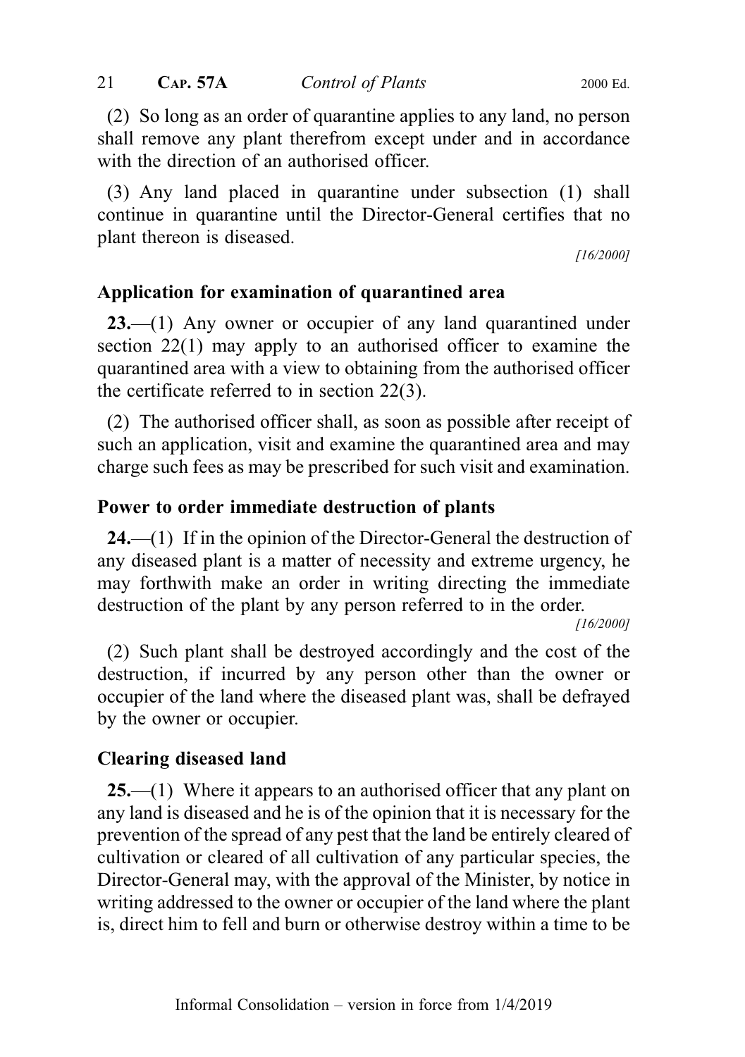(2) So long as an order of quarantine applies to any land, no person shall remove any plant therefrom except under and in accordance with the direction of an authorised officer.

(3) Any land placed in quarantine under subsection (1) shall continue in quarantine until the Director-General certifies that no plant thereon is diseased.

[16/2000]

### Application for examination of quarantined area

23.—(1) Any owner or occupier of any land quarantined under section 22(1) may apply to an authorised officer to examine the quarantined area with a view to obtaining from the authorised officer the certificate referred to in section 22(3).

(2) The authorised officer shall, as soon as possible after receipt of such an application, visit and examine the quarantined area and may charge such fees as may be prescribed for such visit and examination.

### Power to order immediate destruction of plants

 $24.$ —(1) If in the opinion of the Director-General the destruction of any diseased plant is a matter of necessity and extreme urgency, he may forthwith make an order in writing directing the immediate destruction of the plant by any person referred to in the order.

[16/2000]

(2) Such plant shall be destroyed accordingly and the cost of the destruction, if incurred by any person other than the owner or occupier of the land where the diseased plant was, shall be defrayed by the owner or occupier.

### Clearing diseased land

25.—(1) Where it appears to an authorised officer that any plant on any land is diseased and he is of the opinion that it is necessary for the prevention of the spread of any pest that the land be entirely cleared of cultivation or cleared of all cultivation of any particular species, the Director-General may, with the approval of the Minister, by notice in writing addressed to the owner or occupier of the land where the plant is, direct him to fell and burn or otherwise destroy within a time to be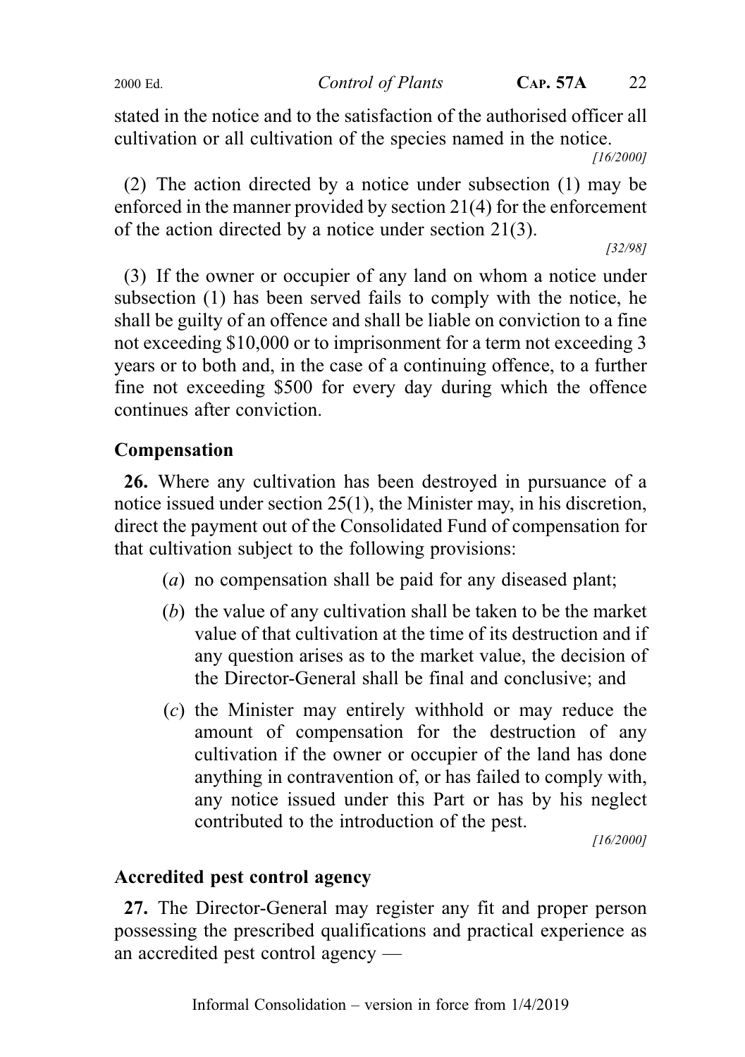2000 Ed. Control of Plants CAP. 57A 22

stated in the notice and to the satisfaction of the authorised officer all cultivation or all cultivation of the species named in the notice.

[16/2000]

(2) The action directed by a notice under subsection (1) may be enforced in the manner provided by section 21(4) for the enforcement of the action directed by a notice under section 21(3).

[32/98]

(3) If the owner or occupier of any land on whom a notice under subsection (1) has been served fails to comply with the notice, he shall be guilty of an offence and shall be liable on conviction to a fine not exceeding \$10,000 or to imprisonment for a term not exceeding 3 years or to both and, in the case of a continuing offence, to a further fine not exceeding \$500 for every day during which the offence continues after conviction.

# Compensation

26. Where any cultivation has been destroyed in pursuance of a notice issued under section 25(1), the Minister may, in his discretion, direct the payment out of the Consolidated Fund of compensation for that cultivation subject to the following provisions:

- (a) no compensation shall be paid for any diseased plant;
- (b) the value of any cultivation shall be taken to be the market value of that cultivation at the time of its destruction and if any question arises as to the market value, the decision of the Director-General shall be final and conclusive; and
- (c) the Minister may entirely withhold or may reduce the amount of compensation for the destruction of any cultivation if the owner or occupier of the land has done anything in contravention of, or has failed to comply with, any notice issued under this Part or has by his neglect contributed to the introduction of the pest.

[16/2000]

# Accredited pest control agency

27. The Director-General may register any fit and proper person possessing the prescribed qualifications and practical experience as an accredited pest control agency —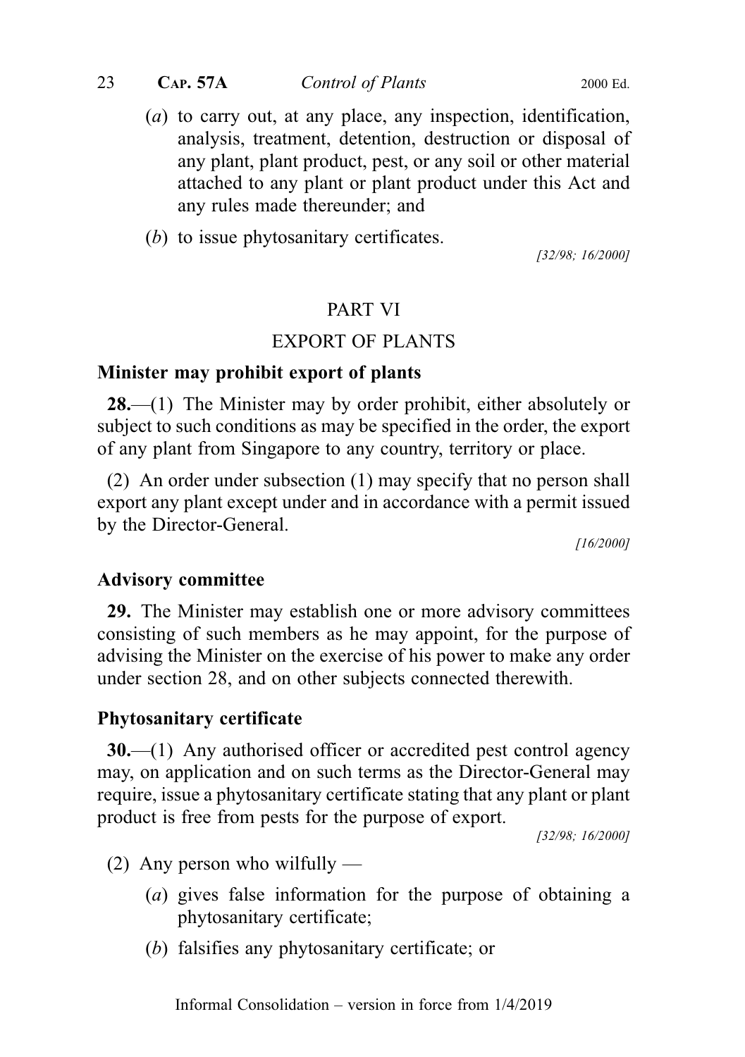- (a) to carry out, at any place, any inspection, identification, analysis, treatment, detention, destruction or disposal of any plant, plant product, pest, or any soil or other material attached to any plant or plant product under this Act and any rules made thereunder; and
- (b) to issue phytosanitary certificates.

[32/98; 16/2000]

#### PART VI

### EXPORT OF PLANTS

### Minister may prohibit export of plants

28.—(1) The Minister may by order prohibit, either absolutely or subject to such conditions as may be specified in the order, the export of any plant from Singapore to any country, territory or place.

(2) An order under subsection (1) may specify that no person shall export any plant except under and in accordance with a permit issued by the Director-General.

[16/2000]

#### Advisory committee

29. The Minister may establish one or more advisory committees consisting of such members as he may appoint, for the purpose of advising the Minister on the exercise of his power to make any order under section 28, and on other subjects connected therewith.

### Phytosanitary certificate

30.—(1) Any authorised officer or accredited pest control agency may, on application and on such terms as the Director-General may require, issue a phytosanitary certificate stating that any plant or plant product is free from pests for the purpose of export.

[32/98; 16/2000]

(2) Any person who wilfully  $\equiv$ 

- (a) gives false information for the purpose of obtaining a phytosanitary certificate;
- (b) falsifies any phytosanitary certificate; or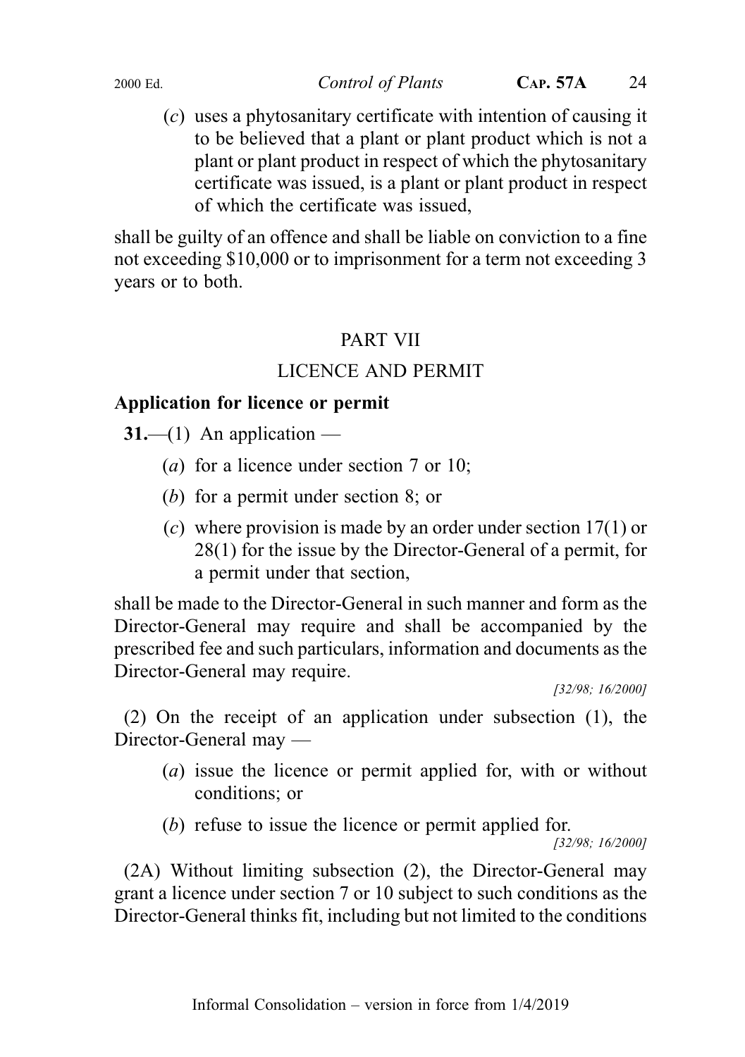2000 Ed. Control of Plants CAP. 57A 24

(c) uses a phytosanitary certificate with intention of causing it to be believed that a plant or plant product which is not a plant or plant product in respect of which the phytosanitary certificate was issued, is a plant or plant product in respect of which the certificate was issued,

shall be guilty of an offence and shall be liable on conviction to a fine not exceeding \$10,000 or to imprisonment for a term not exceeding 3 years or to both.

### PART VII

### LICENCE AND PERMIT

### Application for licence or permit

 $31$ —(1) An application —

- (a) for a licence under section 7 or 10;
- (b) for a permit under section 8; or
- (c) where provision is made by an order under section 17(1) or 28(1) for the issue by the Director-General of a permit, for a permit under that section,

shall be made to the Director-General in such manner and form as the Director-General may require and shall be accompanied by the prescribed fee and such particulars, information and documents as the Director-General may require.

[32/98; 16/2000]

(2) On the receipt of an application under subsection (1), the Director-General may —

- (a) issue the licence or permit applied for, with or without conditions; or
- (b) refuse to issue the licence or permit applied for.

[32/98; 16/2000]

(2A) Without limiting subsection (2), the Director-General may grant a licence under section 7 or 10 subject to such conditions as the Director-General thinks fit, including but not limited to the conditions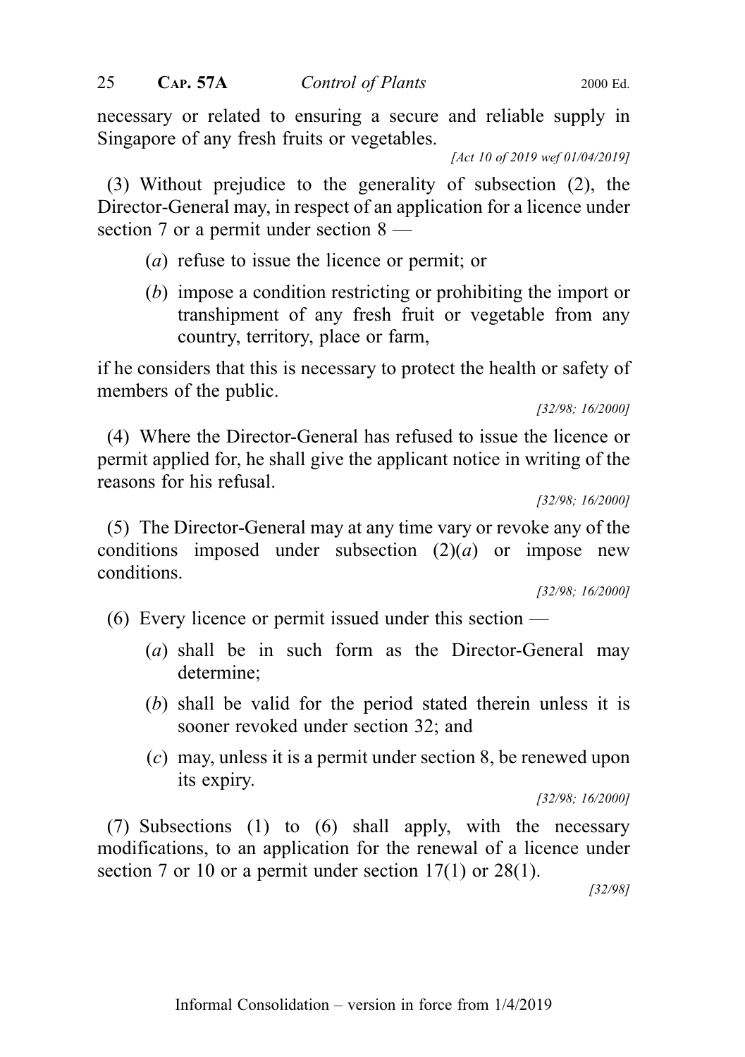necessary or related to ensuring a secure and reliable supply in Singapore of any fresh fruits or vegetables.

[Act 10 of 2019 wef 01/04/2019]

(3) Without prejudice to the generality of subsection (2), the Director-General may, in respect of an application for a licence under section 7 or a permit under section 8 —

- (a) refuse to issue the licence or permit; or
- (b) impose a condition restricting or prohibiting the import or transhipment of any fresh fruit or vegetable from any country, territory, place or farm,

if he considers that this is necessary to protect the health or safety of members of the public.

[32/98; 16/2000]

(4) Where the Director-General has refused to issue the licence or permit applied for, he shall give the applicant notice in writing of the reasons for his refusal.

[32/98; 16/2000]

(5) The Director-General may at any time vary or revoke any of the conditions imposed under subsection  $(2)(a)$  or impose new conditions.

[32/98; 16/2000]

(6) Every licence or permit issued under this section —

- (a) shall be in such form as the Director-General may determine;
- (b) shall be valid for the period stated therein unless it is sooner revoked under section 32; and
- (c) may, unless it is a permit under section 8, be renewed upon its expiry.

[32/98; 16/2000]

(7) Subsections (1) to (6) shall apply, with the necessary modifications, to an application for the renewal of a licence under section 7 or 10 or a permit under section  $17(1)$  or  $28(1)$ .

[32/98]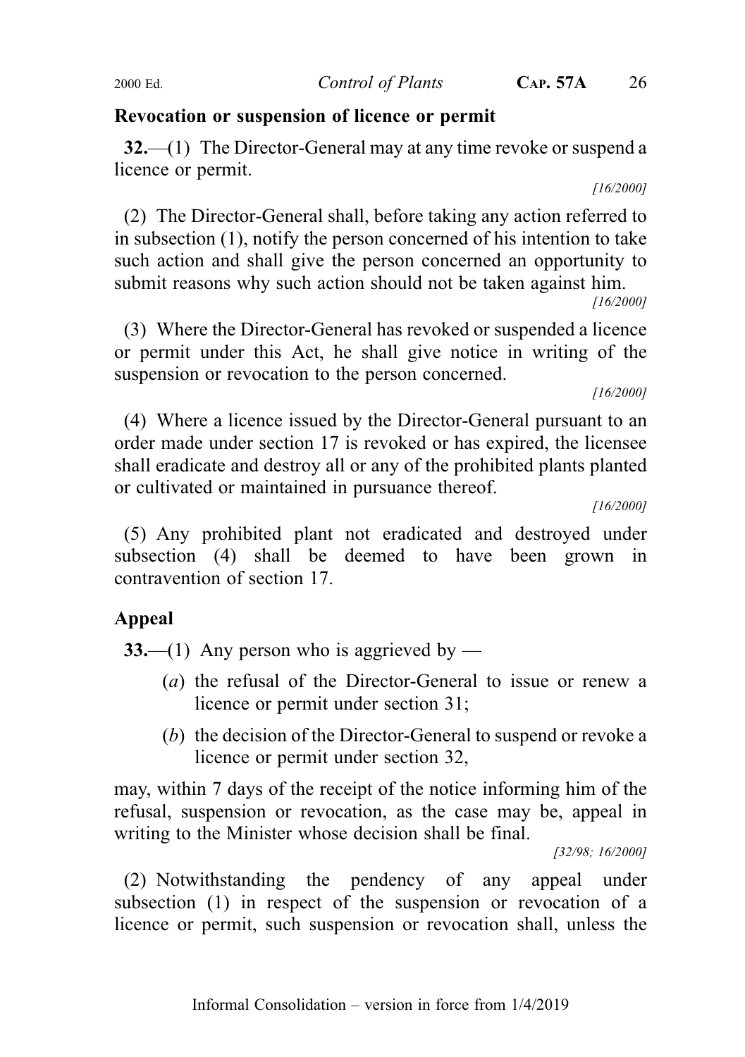Informal Consolidation – version in force from 1/4/2019

#### Revocation or suspension of licence or permit

32.—(1) The Director-General may at any time revoke or suspend a licence or permit.

(2) The Director-General shall, before taking any action referred to in subsection (1), notify the person concerned of his intention to take such action and shall give the person concerned an opportunity to submit reasons why such action should not be taken against him.

(3) Where the Director-General has revoked or suspended a licence or permit under this Act, he shall give notice in writing of the suspension or revocation to the person concerned.

(4) Where a licence issued by the Director-General pursuant to an order made under section 17 is revoked or has expired, the licensee shall eradicate and destroy all or any of the prohibited plants planted or cultivated or maintained in pursuance thereof.

[16/2000]

[32/98; 16/2000]

(5) Any prohibited plant not eradicated and destroyed under subsection (4) shall be deemed to have been grown in contravention of section 17.

#### Appeal

33.—(1) Any person who is aggrieved by —

- (a) the refusal of the Director-General to issue or renew a licence or permit under section 31;
- (b) the decision of the Director-General to suspend or revoke a licence or permit under section 32,

may, within 7 days of the receipt of the notice informing him of the refusal, suspension or revocation, as the case may be, appeal in writing to the Minister whose decision shall be final.

(2) Notwithstanding the pendency of any appeal under subsection (1) in respect of the suspension or revocation of a licence or permit, such suspension or revocation shall, unless the

[16/2000]

[16/2000]

[16/2000]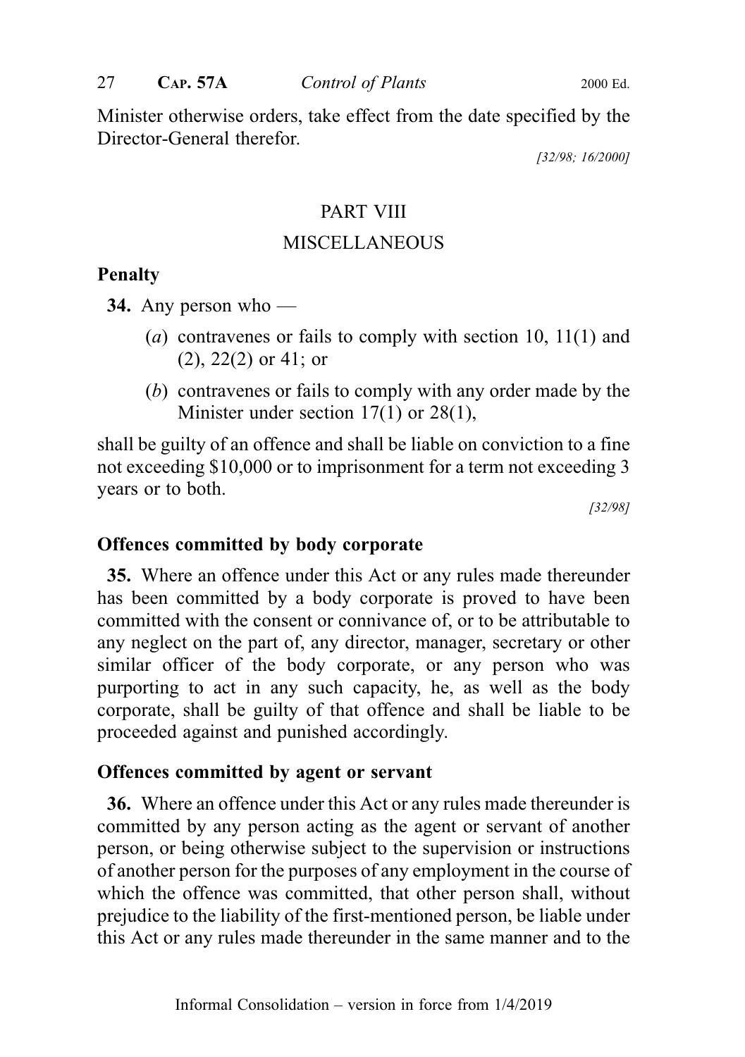Minister otherwise orders, take effect from the date specified by the Director-General therefor.

[32/98; 16/2000]

### PART VIII

### **MISCELLANEOUS**

# Penalty

34. Any person who —

- (a) contravenes or fails to comply with section 10,  $11(1)$  and (2), 22(2) or 41; or
- (b) contravenes or fails to comply with any order made by the Minister under section 17(1) or 28(1),

shall be guilty of an offence and shall be liable on conviction to a fine not exceeding \$10,000 or to imprisonment for a term not exceeding 3 years or to both.

[32/98]

### Offences committed by body corporate

35. Where an offence under this Act or any rules made thereunder has been committed by a body corporate is proved to have been committed with the consent or connivance of, or to be attributable to any neglect on the part of, any director, manager, secretary or other similar officer of the body corporate, or any person who was purporting to act in any such capacity, he, as well as the body corporate, shall be guilty of that offence and shall be liable to be proceeded against and punished accordingly.

### Offences committed by agent or servant

36. Where an offence under this Act or any rules made thereunder is committed by any person acting as the agent or servant of another person, or being otherwise subject to the supervision or instructions of another person for the purposes of any employment in the course of which the offence was committed, that other person shall, without prejudice to the liability of the first-mentioned person, be liable under this Act or any rules made thereunder in the same manner and to the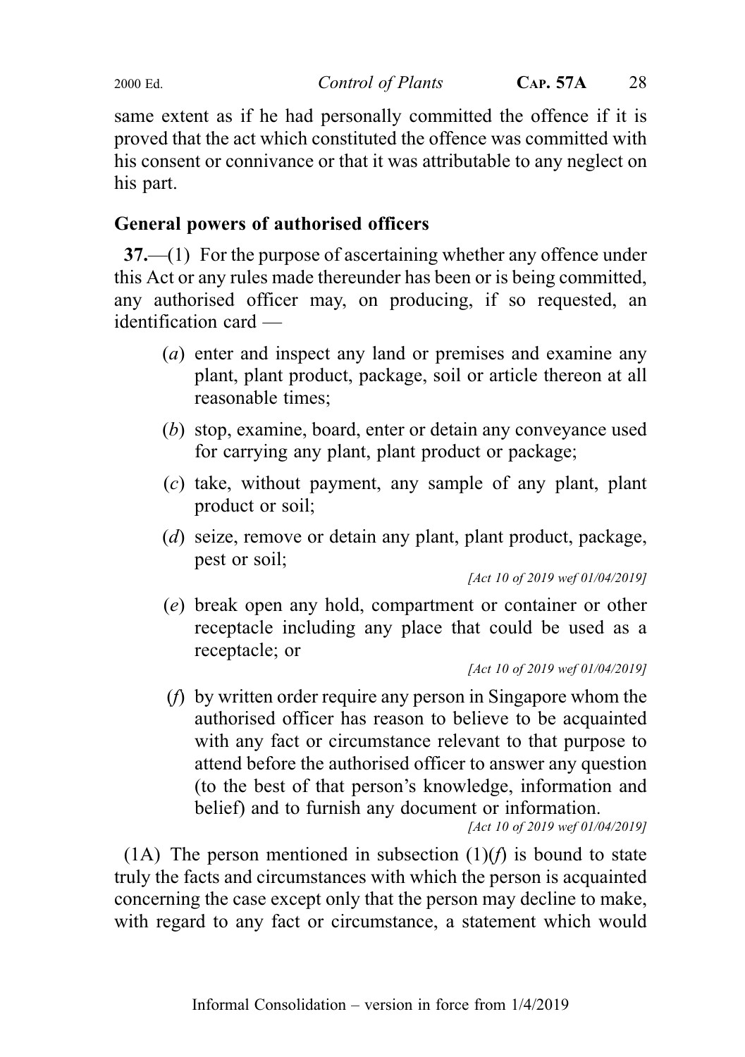same extent as if he had personally committed the offence if it is proved that the act which constituted the offence was committed with his consent or connivance or that it was attributable to any neglect on his part.

### General powers of authorised officers

37.—(1) For the purpose of ascertaining whether any offence under this Act or any rules made thereunder has been or is being committed, any authorised officer may, on producing, if so requested, an identification card —

- (a) enter and inspect any land or premises and examine any plant, plant product, package, soil or article thereon at all reasonable times;
- (b) stop, examine, board, enter or detain any conveyance used for carrying any plant, plant product or package;
- (c) take, without payment, any sample of any plant, plant product or soil;
- (d) seize, remove or detain any plant, plant product, package, pest or soil;

[Act 10 of 2019 wef 01/04/2019]

(e) break open any hold, compartment or container or other receptacle including any place that could be used as a receptacle; or

[Act 10 of 2019 wef 01/04/2019]

(f) by written order require any person in Singapore whom the authorised officer has reason to believe to be acquainted with any fact or circumstance relevant to that purpose to attend before the authorised officer to answer any question (to the best of that person's knowledge, information and belief) and to furnish any document or information.

[Act 10 of 2019 wef 01/04/2019]

(1A) The person mentioned in subsection  $(1)(f)$  is bound to state truly the facts and circumstances with which the person is acquainted concerning the case except only that the person may decline to make, with regard to any fact or circumstance, a statement which would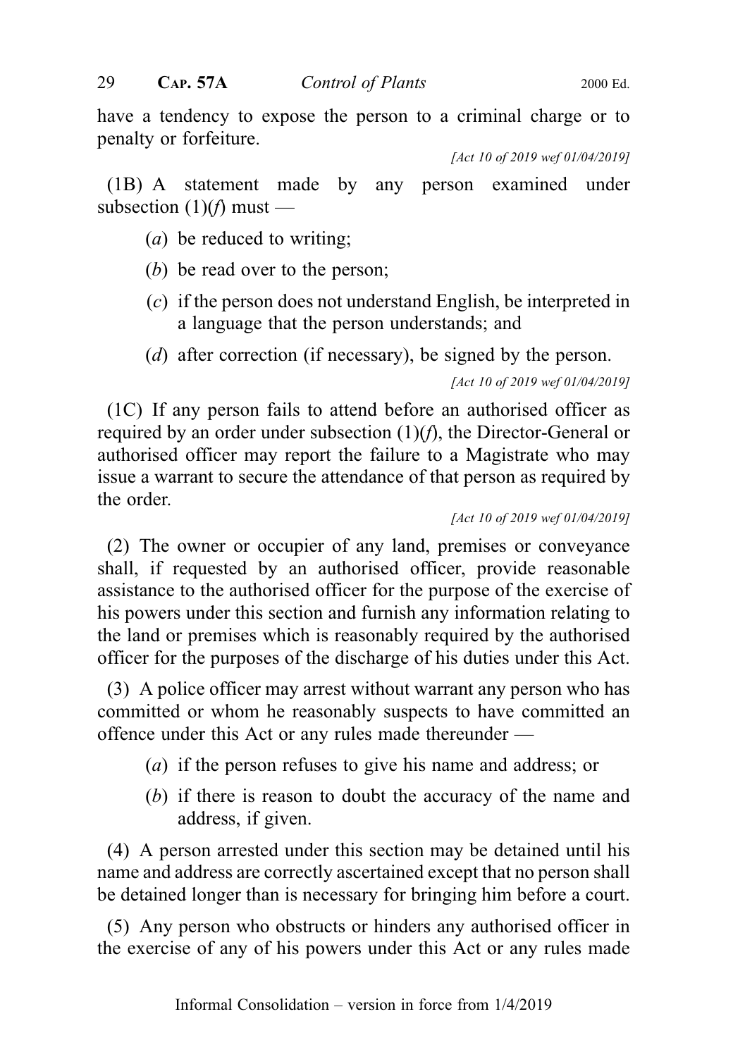have a tendency to expose the person to a criminal charge or to penalty or forfeiture.

[Act 10 of 2019 wef 01/04/2019]

(1B) A statement made by any person examined under subsection  $(1)(f)$  must —

- (a) be reduced to writing;
- (b) be read over to the person;
- (c) if the person does not understand English, be interpreted in a language that the person understands; and

(*d*) after correction (if necessary), be signed by the person.

[Act 10 of 2019 wef 01/04/2019]

(1C) If any person fails to attend before an authorised officer as required by an order under subsection  $(1)(f)$ , the Director-General or authorised officer may report the failure to a Magistrate who may issue a warrant to secure the attendance of that person as required by the order.

[Act 10 of 2019 wef 01/04/2019]

(2) The owner or occupier of any land, premises or conveyance shall, if requested by an authorised officer, provide reasonable assistance to the authorised officer for the purpose of the exercise of his powers under this section and furnish any information relating to the land or premises which is reasonably required by the authorised officer for the purposes of the discharge of his duties under this Act.

(3) A police officer may arrest without warrant any person who has committed or whom he reasonably suspects to have committed an offence under this Act or any rules made thereunder —

- (a) if the person refuses to give his name and address; or
- (b) if there is reason to doubt the accuracy of the name and address, if given.

(4) A person arrested under this section may be detained until his name and address are correctly ascertained except that no person shall be detained longer than is necessary for bringing him before a court.

(5) Any person who obstructs or hinders any authorised officer in the exercise of any of his powers under this Act or any rules made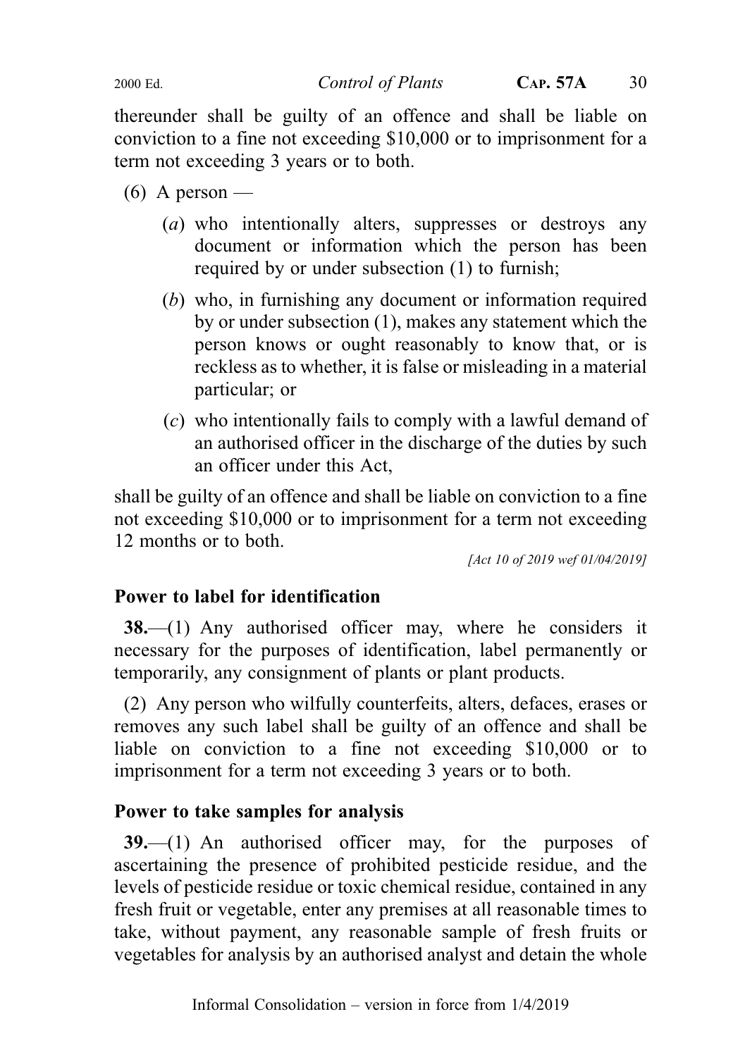thereunder shall be guilty of an offence and shall be liable on conviction to a fine not exceeding \$10,000 or to imprisonment for a term not exceeding 3 years or to both.

- $(6)$  A person
	- (a) who intentionally alters, suppresses or destroys any document or information which the person has been required by or under subsection (1) to furnish;
	- (b) who, in furnishing any document or information required by or under subsection (1), makes any statement which the person knows or ought reasonably to know that, or is reckless as to whether, it is false or misleading in a material particular; or
	- (c) who intentionally fails to comply with a lawful demand of an authorised officer in the discharge of the duties by such an officer under this Act,

shall be guilty of an offence and shall be liable on conviction to a fine not exceeding \$10,000 or to imprisonment for a term not exceeding 12 months or to both.

[Act 10 of 2019 wef 01/04/2019]

#### Power to label for identification

38.—(1) Any authorised officer may, where he considers it necessary for the purposes of identification, label permanently or temporarily, any consignment of plants or plant products.

(2) Any person who wilfully counterfeits, alters, defaces, erases or removes any such label shall be guilty of an offence and shall be liable on conviction to a fine not exceeding \$10,000 or to imprisonment for a term not exceeding 3 years or to both.

#### Power to take samples for analysis

39.—(1) An authorised officer may, for the purposes of ascertaining the presence of prohibited pesticide residue, and the levels of pesticide residue or toxic chemical residue, contained in any fresh fruit or vegetable, enter any premises at all reasonable times to take, without payment, any reasonable sample of fresh fruits or vegetables for analysis by an authorised analyst and detain the whole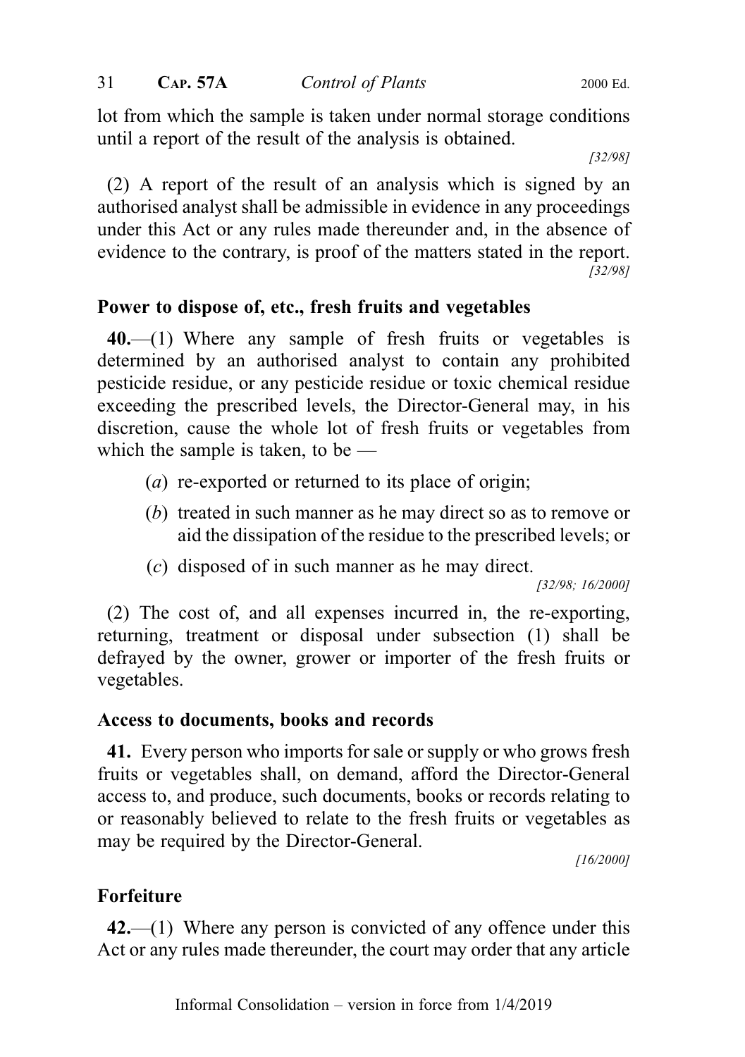lot from which the sample is taken under normal storage conditions until a report of the result of the analysis is obtained.

[32/98]

(2) A report of the result of an analysis which is signed by an authorised analyst shall be admissible in evidence in any proceedings under this Act or any rules made thereunder and, in the absence of evidence to the contrary, is proof of the matters stated in the report. [32/98]

### Power to dispose of, etc., fresh fruits and vegetables

 $40$ .—(1) Where any sample of fresh fruits or vegetables is determined by an authorised analyst to contain any prohibited pesticide residue, or any pesticide residue or toxic chemical residue exceeding the prescribed levels, the Director-General may, in his discretion, cause the whole lot of fresh fruits or vegetables from which the sample is taken, to be  $-$ 

- (*a*) re-exported or returned to its place of origin;
- (b) treated in such manner as he may direct so as to remove or aid the dissipation of the residue to the prescribed levels; or
- (c) disposed of in such manner as he may direct.

[32/98; 16/2000]

(2) The cost of, and all expenses incurred in, the re-exporting, returning, treatment or disposal under subsection (1) shall be defrayed by the owner, grower or importer of the fresh fruits or vegetables.

# Access to documents, books and records

41. Every person who imports for sale or supply or who grows fresh fruits or vegetables shall, on demand, afford the Director-General access to, and produce, such documents, books or records relating to or reasonably believed to relate to the fresh fruits or vegetables as may be required by the Director-General.

[16/2000]

# Forfeiture

 $42$ .—(1) Where any person is convicted of any offence under this Act or any rules made thereunder, the court may order that any article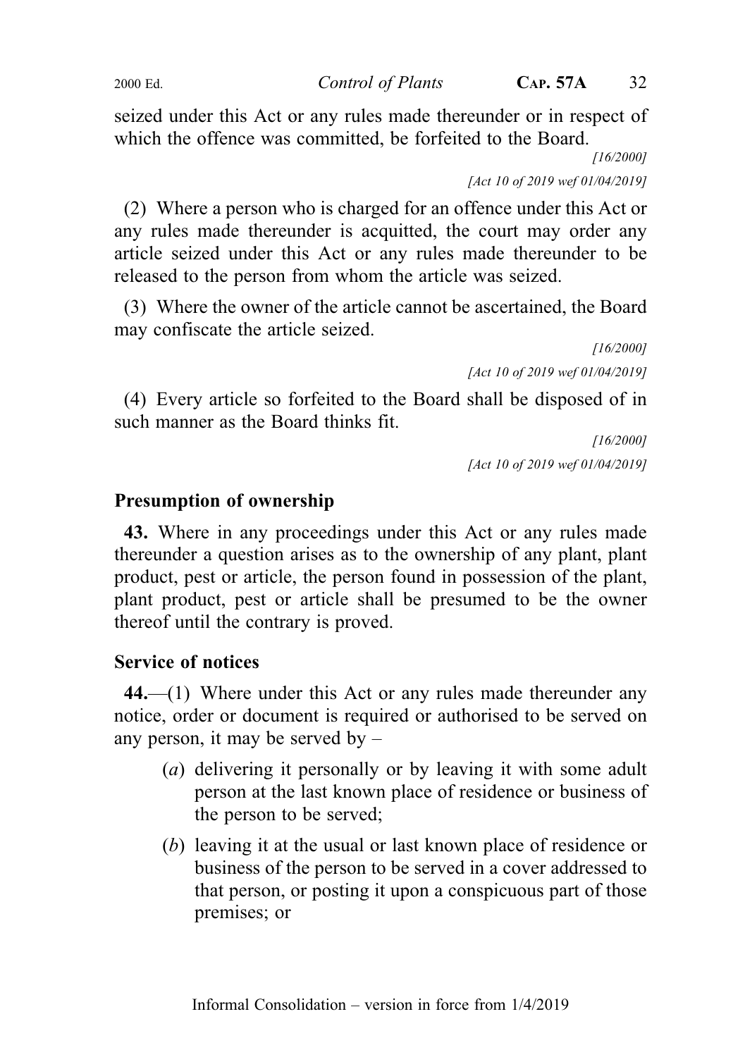2000 Ed. Control of Plants CAP. 57A 32

seized under this Act or any rules made thereunder or in respect of which the offence was committed, be forfeited to the Board.

[16/2000]

[Act 10 of 2019 wef 01/04/2019]

(2) Where a person who is charged for an offence under this Act or any rules made thereunder is acquitted, the court may order any article seized under this Act or any rules made thereunder to be released to the person from whom the article was seized.

(3) Where the owner of the article cannot be ascertained, the Board may confiscate the article seized.

> [16/2000] [Act 10 of 2019 wef 01/04/2019]

(4) Every article so forfeited to the Board shall be disposed of in such manner as the Board thinks fit.

> [16/2000] [Act 10 of 2019 wef 01/04/2019]

#### Presumption of ownership

43. Where in any proceedings under this Act or any rules made thereunder a question arises as to the ownership of any plant, plant product, pest or article, the person found in possession of the plant, plant product, pest or article shall be presumed to be the owner thereof until the contrary is proved.

#### Service of notices

44.—(1) Where under this Act or any rules made thereunder any notice, order or document is required or authorised to be served on any person, it may be served by –

- (a) delivering it personally or by leaving it with some adult person at the last known place of residence or business of the person to be served;
- (b) leaving it at the usual or last known place of residence or business of the person to be served in a cover addressed to that person, or posting it upon a conspicuous part of those premises; or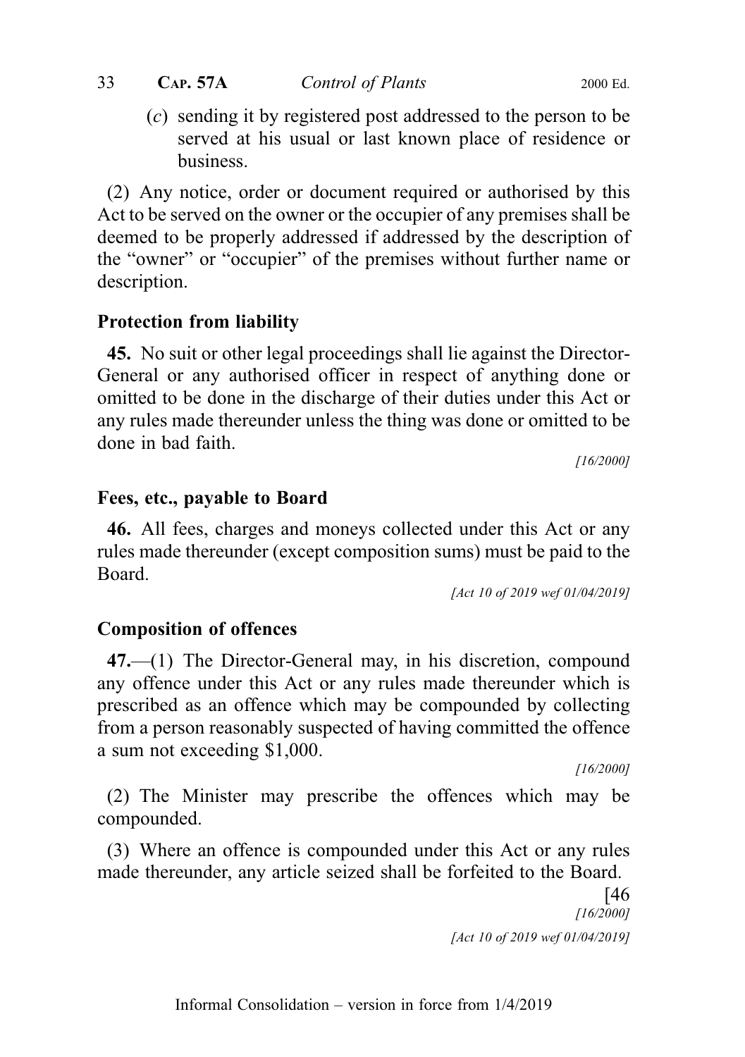(c) sending it by registered post addressed to the person to be served at his usual or last known place of residence or business.

(2) Any notice, order or document required or authorised by this Act to be served on the owner or the occupier of any premises shall be deemed to be properly addressed if addressed by the description of the "owner" or "occupier" of the premises without further name or description.

### Protection from liability

45. No suit or other legal proceedings shall lie against the Director-General or any authorised officer in respect of anything done or omitted to be done in the discharge of their duties under this Act or any rules made thereunder unless the thing was done or omitted to be done in bad faith.

[16/2000]

#### Fees, etc., payable to Board

46. All fees, charges and moneys collected under this Act or any rules made thereunder (except composition sums) must be paid to the Board.

[Act 10 of 2019 wef 01/04/2019]

#### Composition of offences

47.—(1) The Director-General may, in his discretion, compound any offence under this Act or any rules made thereunder which is prescribed as an offence which may be compounded by collecting from a person reasonably suspected of having committed the offence a sum not exceeding \$1,000.

[16/2000]

(2) The Minister may prescribe the offences which may be compounded.

(3) Where an offence is compounded under this Act or any rules made thereunder, any article seized shall be forfeited to the Board.

> [46 [16/2000] [Act 10 of 2019 wef 01/04/2019]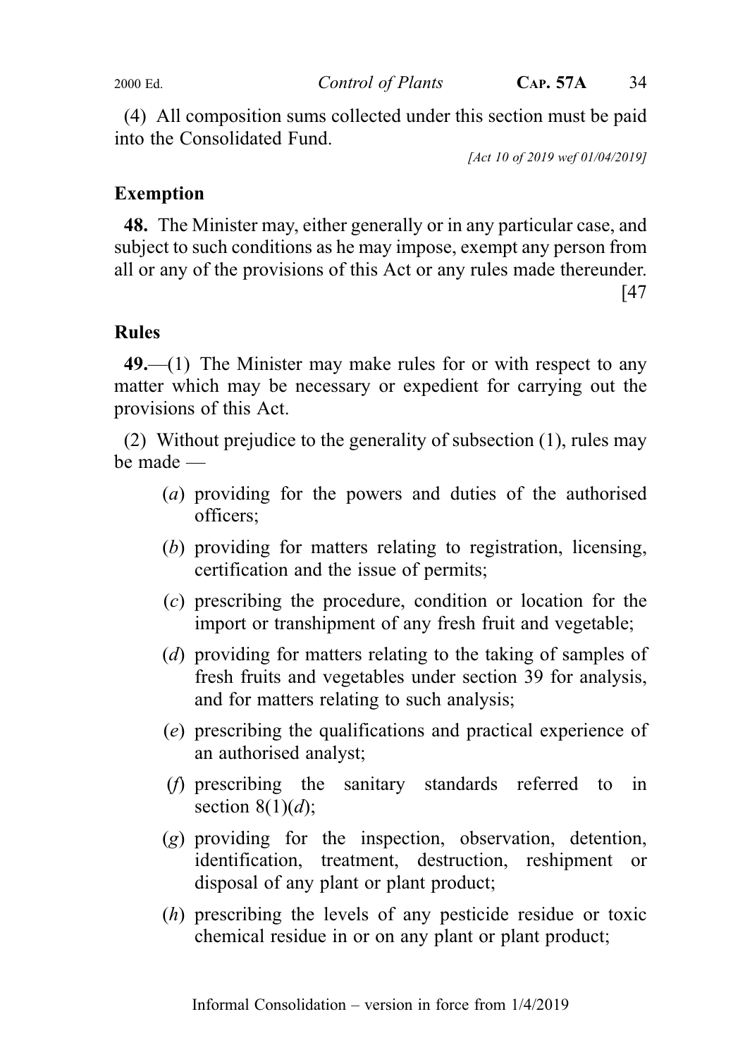(4) All composition sums collected under this section must be paid into the Consolidated Fund.

[Act 10 of 2019 wef 01/04/2019]

### Exemption

48. The Minister may, either generally or in any particular case, and subject to such conditions as he may impose, exempt any person from all or any of the provisions of this Act or any rules made thereunder. [47

#### Rules

 $49$ .—(1) The Minister may make rules for or with respect to any matter which may be necessary or expedient for carrying out the provisions of this Act.

(2) Without prejudice to the generality of subsection (1), rules may be made —

- (a) providing for the powers and duties of the authorised officers;
- (b) providing for matters relating to registration, licensing, certification and the issue of permits;
- (c) prescribing the procedure, condition or location for the import or transhipment of any fresh fruit and vegetable;
- (d) providing for matters relating to the taking of samples of fresh fruits and vegetables under section 39 for analysis, and for matters relating to such analysis;
- (e) prescribing the qualifications and practical experience of an authorised analyst;
- (f) prescribing the sanitary standards referred to in section  $8(1)(d)$ ;
- (g) providing for the inspection, observation, detention, identification, treatment, destruction, reshipment or disposal of any plant or plant product;
- (h) prescribing the levels of any pesticide residue or toxic chemical residue in or on any plant or plant product;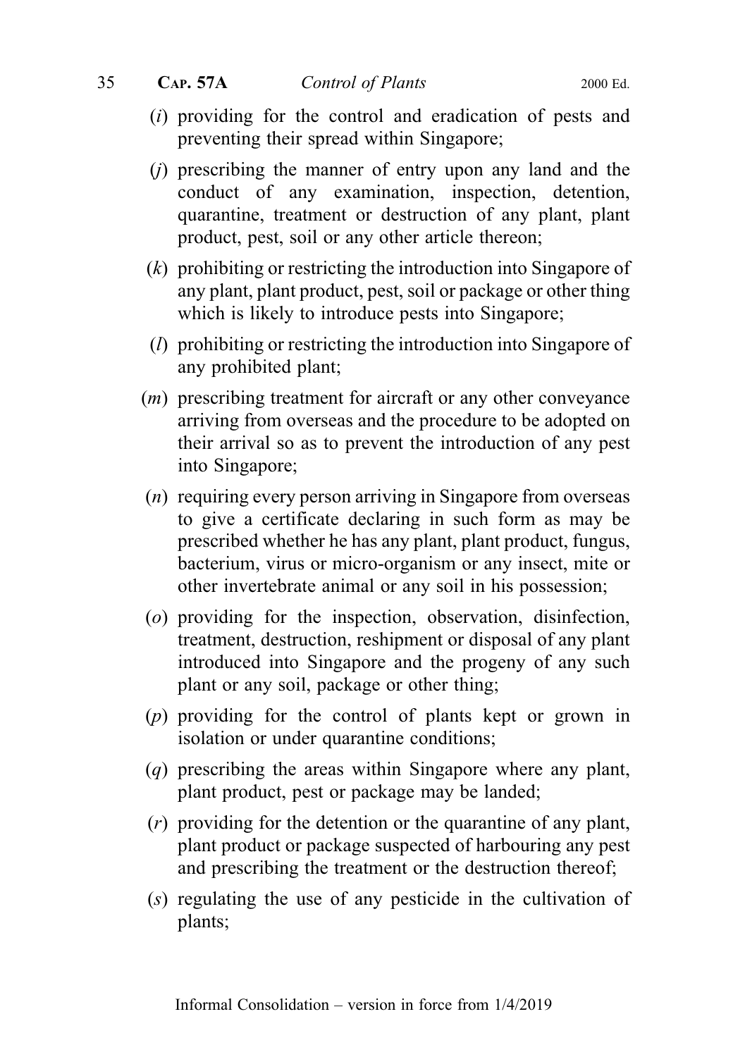- (i) providing for the control and eradication of pests and preventing their spread within Singapore;
- (j) prescribing the manner of entry upon any land and the conduct of any examination, inspection, detention, quarantine, treatment or destruction of any plant, plant product, pest, soil or any other article thereon;
- (k) prohibiting or restricting the introduction into Singapore of any plant, plant product, pest, soil or package or other thing which is likely to introduce pests into Singapore;
- (l) prohibiting or restricting the introduction into Singapore of any prohibited plant;
- (m) prescribing treatment for aircraft or any other conveyance arriving from overseas and the procedure to be adopted on their arrival so as to prevent the introduction of any pest into Singapore;
- (n) requiring every person arriving in Singapore from overseas to give a certificate declaring in such form as may be prescribed whether he has any plant, plant product, fungus, bacterium, virus or micro-organism or any insect, mite or other invertebrate animal or any soil in his possession;
- (o) providing for the inspection, observation, disinfection, treatment, destruction, reshipment or disposal of any plant introduced into Singapore and the progeny of any such plant or any soil, package or other thing;
- (p) providing for the control of plants kept or grown in isolation or under quarantine conditions;
- (q) prescribing the areas within Singapore where any plant, plant product, pest or package may be landed;
- $(r)$  providing for the detention or the quarantine of any plant, plant product or package suspected of harbouring any pest and prescribing the treatment or the destruction thereof;
- (s) regulating the use of any pesticide in the cultivation of plants;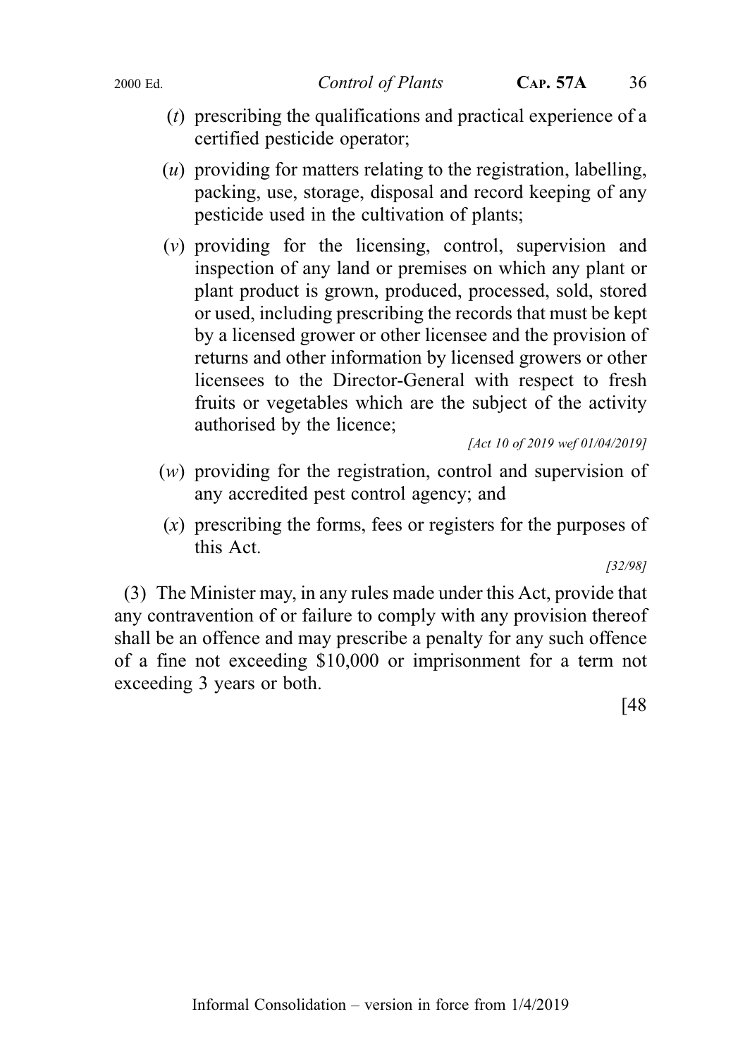- $(t)$  prescribing the qualifications and practical experience of a certified pesticide operator;
- (u) providing for matters relating to the registration, labelling, packing, use, storage, disposal and record keeping of any pesticide used in the cultivation of plants;
- (v) providing for the licensing, control, supervision and inspection of any land or premises on which any plant or plant product is grown, produced, processed, sold, stored or used, including prescribing the records that must be kept by a licensed grower or other licensee and the provision of returns and other information by licensed growers or other licensees to the Director-General with respect to fresh fruits or vegetables which are the subject of the activity authorised by the licence;

[Act 10 of 2019 wef 01/04/2019]

- (w) providing for the registration, control and supervision of any accredited pest control agency; and
- (x) prescribing the forms, fees or registers for the purposes of this Act.

#### [32/98]

(3) The Minister may, in any rules made under this Act, provide that any contravention of or failure to comply with any provision thereof shall be an offence and may prescribe a penalty for any such offence of a fine not exceeding \$10,000 or imprisonment for a term not exceeding 3 years or both.

[48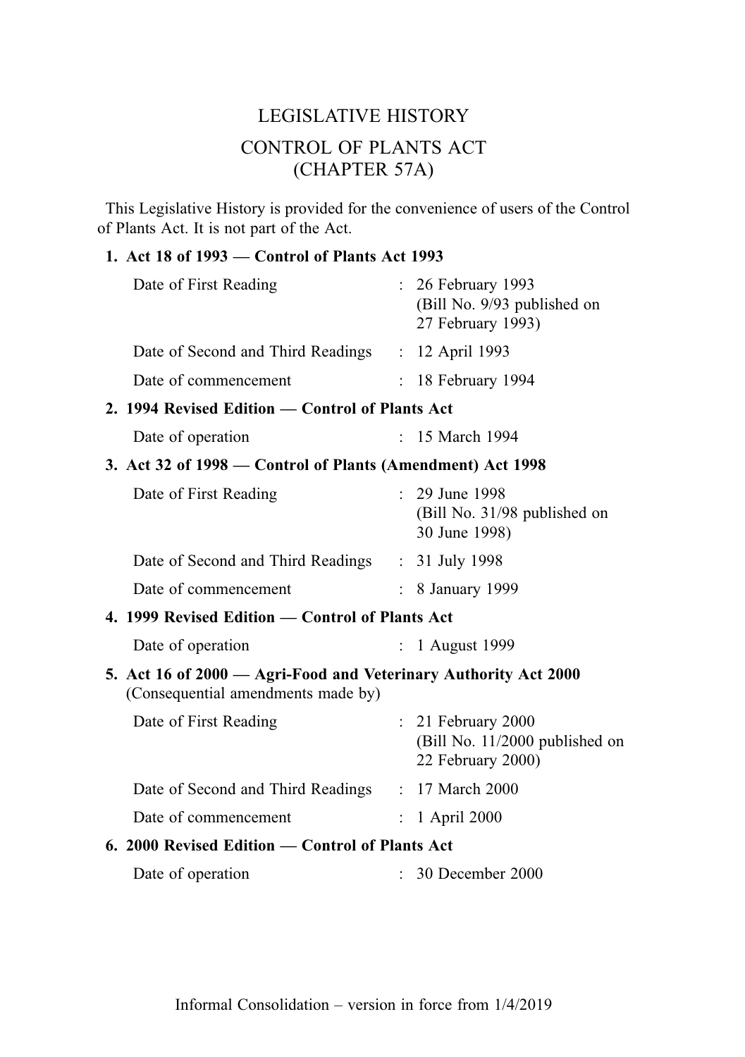# LEGISLATIVE HISTORY CONTROL OF PLANTS ACT (CHAPTER 57A)

This Legislative History is provided for the convenience of users of the Control of Plants Act. It is not part of the Act.

#### 1. Act 18 of 1993 — Control of Plants Act 1993

| Date of First Reading                                                                                 |                           | : 26 February 1993<br>(Bill No. 9/93 published on<br>27 February 1993)    |  |  |
|-------------------------------------------------------------------------------------------------------|---------------------------|---------------------------------------------------------------------------|--|--|
| Date of Second and Third Readings : 12 April 1993                                                     |                           |                                                                           |  |  |
| Date of commencement                                                                                  | $\mathbb{R}^{\mathbb{Z}}$ | 18 February 1994                                                          |  |  |
| 2. 1994 Revised Edition — Control of Plants Act                                                       |                           |                                                                           |  |  |
| Date of operation                                                                                     |                           | 15 March 1994                                                             |  |  |
| 3. Act 32 of 1998 – Control of Plants (Amendment) Act 1998                                            |                           |                                                                           |  |  |
| Date of First Reading                                                                                 |                           | $: 29$ June 1998<br>(Bill No. 31/98 published on<br>30 June 1998)         |  |  |
| Date of Second and Third Readings : 31 July 1998                                                      |                           |                                                                           |  |  |
| Date of commencement                                                                                  |                           | : 8 January 1999                                                          |  |  |
| 4. 1999 Revised Edition — Control of Plants Act                                                       |                           |                                                                           |  |  |
| Date of operation                                                                                     | $\mathbb{R}^{\mathbb{Z}}$ | 1 August 1999                                                             |  |  |
| 5. Act 16 of 2000 - Agri-Food and Veterinary Authority Act 2000<br>(Consequential amendments made by) |                           |                                                                           |  |  |
| Date of First Reading                                                                                 |                           | : 21 February 2000<br>(Bill No. 11/2000 published on<br>22 February 2000) |  |  |
| Date of Second and Third Readings : 17 March 2000                                                     |                           |                                                                           |  |  |
| Date of commencement                                                                                  | $\ddot{\cdot}$            | 1 April 2000                                                              |  |  |
| 6. 2000 Revised Edition — Control of Plants Act                                                       |                           |                                                                           |  |  |
| Date of operation                                                                                     |                           | $: 30$ December 2000                                                      |  |  |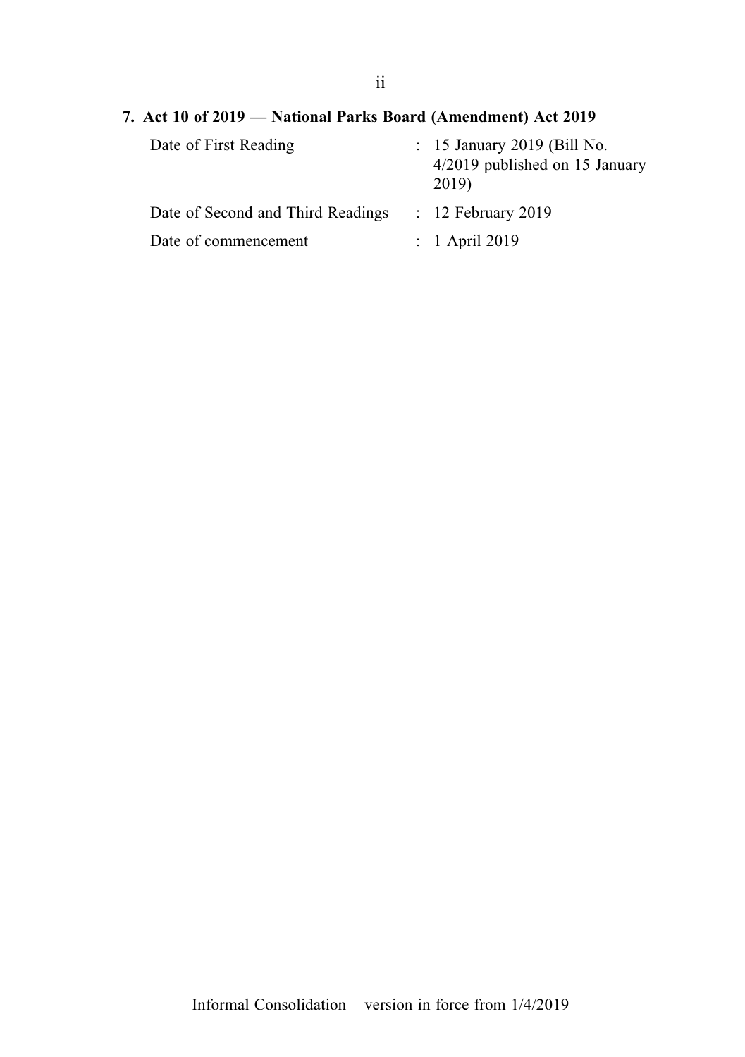# 7. Act 10 of 2019 — National Parks Board (Amendment) Act 2019

| Date of First Reading             | $: 15$ January 2019 (Bill No.             |
|-----------------------------------|-------------------------------------------|
|                                   | $4/2019$ published on 15 January<br>2019) |
| Date of Second and Third Readings | $\therefore$ 12 February 2019             |
| Date of commencement              | $\therefore$ 1 April 2019                 |